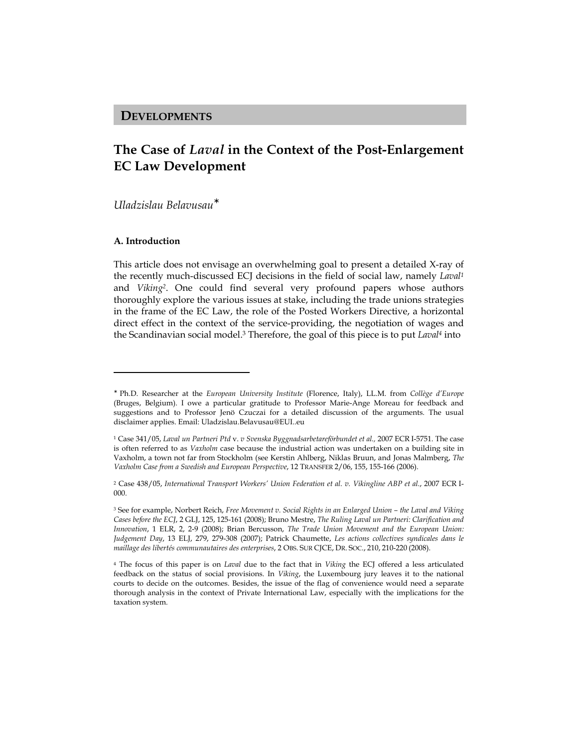## DEVELOPMENTS

# The Case of Laval in the Context of the Post-Enlargement EC Law Development

Uladzislau Belavusau<sup>∗</sup>

#### A. Introduction

l

This article does not envisage an overwhelming goal to present a detailed X-ray of the recently much-discussed ECJ decisions in the field of social law, namely Laval<sup>1</sup> and *Viking*<sup>2</sup>. One could find several very profound papers whose authors thoroughly explore the various issues at stake, including the trade unions strategies in the frame of the EC Law, the role of the Posted Workers Directive, a horizontal direct effect in the context of the service-providing, the negotiation of wages and the Scandinavian social model.<sup>3</sup> Therefore, the goal of this piece is to put Laval<sup>4</sup> into

<sup>∗</sup> Ph.D. Researcher at the European University Institute (Florence, Italy), LL.M. from Collège d'Europe (Bruges, Belgium). I owe a particular gratitude to Professor Marie-Ange Moreau for feedback and suggestions and to Professor Jenö Czuczai for a detailed discussion of the arguments. The usual disclaimer applies. Email: Uladzislau.Belavusau@EUI..eu

<sup>1</sup> Case 341/05, Laval un Partneri Ptd v. v Svenska Byggnadsarbetareförbundet et al., 2007 ECR I-5751. The case is often referred to as *Vaxholm* case because the industrial action was undertaken on a building site in Vaxholm, a town not far from Stockholm (see Kerstin Ahlberg, Niklas Bruun, and Jonas Malmberg, The Vaxholm Case from a Swedish and European Perspective, 12 TRANSFER 2/06, 155, 155-166 (2006).

<sup>2</sup> Case 438/05, International Transport Workers' Union Federation et al. v. Vikingline ABP et al., 2007 ECR I-000.

<sup>&</sup>lt;sup>3</sup> See for example, Norbert Reich, Free Movement v. Social Rights in an Enlarged Union – the Laval and Viking Cases before the ECJ, 2 GLJ, 125, 125-161 (2008); Bruno Mestre, The Ruling Laval un Partneri: Clarification and Innovation, 1 ELR, 2, 2-9 (2008); Brian Bercusson, The Trade Union Movement and the European Union: Judgement Day, 13 ELJ, 279, 279-308 (2007); Patrick Chaumette, Les actions collectives syndicales dans le maillage des libertés communautaires des enterprises, 2 OBS. SUR CJCE, DR. SOC., 210, 210-220 (2008).

<sup>&</sup>lt;sup>4</sup> The focus of this paper is on *Laval* due to the fact that in *Viking* the ECJ offered a less articulated feedback on the status of social provisions. In Viking, the Luxembourg jury leaves it to the national courts to decide on the outcomes. Besides, the issue of the flag of convenience would need a separate thorough analysis in the context of Private International Law, especially with the implications for the taxation system.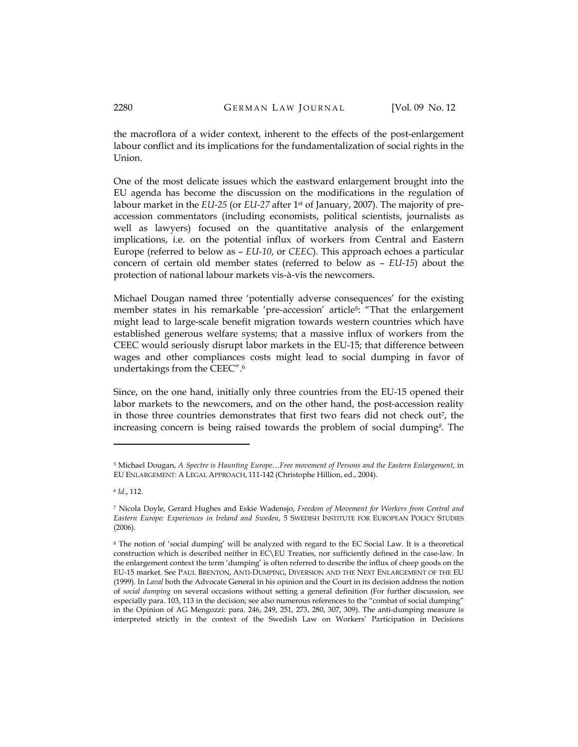the macroflora of a wider context, inherent to the effects of the post-enlargement labour conflict and its implications for the fundamentalization of social rights in the Union.

One of the most delicate issues which the eastward enlargement brought into the EU agenda has become the discussion on the modifications in the regulation of labour market in the EU-25 (or EU-27 after 1st of January, 2007). The majority of preaccession commentators (including economists, political scientists, journalists as well as lawyers) focused on the quantitative analysis of the enlargement implications, i.e. on the potential influx of workers from Central and Eastern Europe (referred to below as – EU-10, or CEEC). This approach echoes a particular concern of certain old member states (referred to below as – EU-15) about the protection of national labour markets vis-à-vis the newcomers.

Michael Dougan named three 'potentially adverse consequences' for the existing member states in his remarkable 'pre-accession' article<sup>5</sup>: "That the enlargement might lead to large-scale benefit migration towards western countries which have established generous welfare systems; that a massive influx of workers from the CEEC would seriously disrupt labor markets in the EU-15; that difference between wages and other compliances costs might lead to social dumping in favor of undertakings from the CEEC".<sup>6</sup>

Since, on the one hand, initially only three countries from the EU-15 opened their labor markets to the newcomers, and on the other hand, the post-accession reality in those three countries demonstrates that first two fears did not check out<sup>7</sup> , the increasing concern is being raised towards the problem of social dumping<sup>8</sup>. The

<sup>5</sup> Michael Dougan, A Spectre is Haunting Europe…Free movement of Persons and the Eastern Enlargement, in EU ENLARGEMENT: A LEGAL APPROACH, 111-142 (Christophe Hillion, ed., 2004).

<sup>6</sup> Id., 112.

<sup>7</sup> Nicola Doyle, Gerard Hughes and Eskie Wadensjo, Freedom of Movement for Workers from Central and Eastern Europe: Experiences in Ireland and Sweden, 5 SWEDISH INSTITUTE FOR EUROPEAN POLICY STUDIES (2006).

<sup>8</sup> The notion of 'social dumping' will be analyzed with regard to the EC Social Law. It is a theoretical construction which is described neither in EC\EU Treaties, nor sufficiently defined in the case-law. In the enlargement context the term 'dumping' is often referred to describe the influx of cheep goods on the EU-15 market. See PAUL BRENTON, ANTI-DUMPING, DIVERSION AND THE NEXT ENLARGEMENT OF THE EU (1999). In Laval both the Advocate General in his opinion and the Court in its decision address the notion of social dumping on several occasions without setting a general definition (For further discussion, see especially para. 103, 113 in the decision; see also numerous references to the "combat of social dumping" in the Opinion of AG Mengozzi: para. 246, 249, 251, 273, 280, 307, 309). The anti-dumping measure is interpreted strictly in the context of the Swedish Law on Workers' Participation in Decisions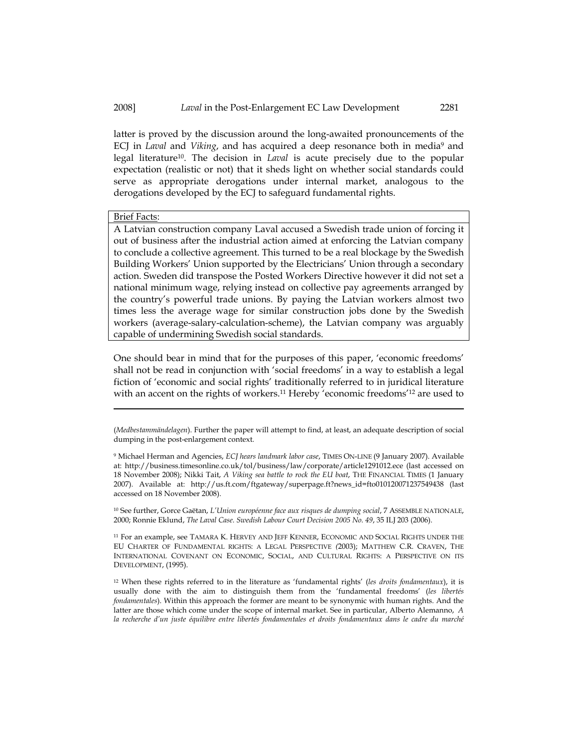latter is proved by the discussion around the long-awaited pronouncements of the ECJ in *Laval* and *Viking*, and has acquired a deep resonance both in media<sup>9</sup> and legal literature<sup>10</sup>. The decision in Laval is acute precisely due to the popular expectation (realistic or not) that it sheds light on whether social standards could serve as appropriate derogations under internal market, analogous to the derogations developed by the ECJ to safeguard fundamental rights.

#### Brief Facts:

l

A Latvian construction company Laval accused a Swedish trade union of forcing it out of business after the industrial action aimed at enforcing the Latvian company to conclude a collective agreement. This turned to be a real blockage by the Swedish Building Workers' Union supported by the Electricians' Union through a secondary action. Sweden did transpose the Posted Workers Directive however it did not set a national minimum wage, relying instead on collective pay agreements arranged by the country's powerful trade unions. By paying the Latvian workers almost two times less the average wage for similar construction jobs done by the Swedish workers (average-salary-calculation-scheme), the Latvian company was arguably capable of undermining Swedish social standards.

One should bear in mind that for the purposes of this paper, 'economic freedoms' shall not be read in conjunction with 'social freedoms' in a way to establish a legal fiction of 'economic and social rights' traditionally referred to in juridical literature with an accent on the rights of workers.<sup>11</sup> Hereby 'economic freedoms'<sup>12</sup> are used to

<sup>10</sup> See further, Gorce Gaëtan, L'Union européenne face aux risques de dumping social, 7 ASSEMBLE NATIONALE, 2000; Ronnie Eklund, The Laval Case. Swedish Labour Court Decision 2005 No. 49, 35 ILJ 203 (2006).

<sup>11</sup> For an example, see TAMARA K. HERVEY AND JEFF KENNER, ECONOMIC AND SOCIAL RIGHTS UNDER THE EU CHARTER OF FUNDAMENTAL RIGHTS: A LEGAL PERSPECTIVE (2003); MATTHEW C.R. CRAVEN, THE INTERNATIONAL COVENANT ON ECONOMIC, SOCIAL, AND CULTURAL RIGHTS: A PERSPECTIVE ON ITS DEVELOPMENT, (1995).

 $12$  When these rights referred to in the literature as 'fundamental rights' (les droits fondamentaux), it is usually done with the aim to distinguish them from the 'fundamental freedoms' (les libertés fondamentales). Within this approach the former are meant to be synonymic with human rights. And the latter are those which come under the scope of internal market. See in particular, Alberto Alemanno, A la recherche d'un juste équilibre entre libertés fondamentales et droits fondamentaux dans le cadre du marché

<sup>(</sup>Medbestammändelagen). Further the paper will attempt to find, at least, an adequate description of social dumping in the post-enlargement context.

<sup>9</sup> Michael Herman and Agencies, ECJ hears landmark labor case, TIMES ON-LINE (9 January 2007). Available at: http://business.timesonline.co.uk/tol/business/law/corporate/article1291012.ece (last accessed on 18 November 2008); Nikki Tait, A Viking sea battle to rock the EU boat, THE FINANCIAL TIMES (1 January 2007). Available at: http://us.ft.com/ftgateway/superpage.ft?news\_id=fto010120071237549438 (last accessed on 18 November 2008).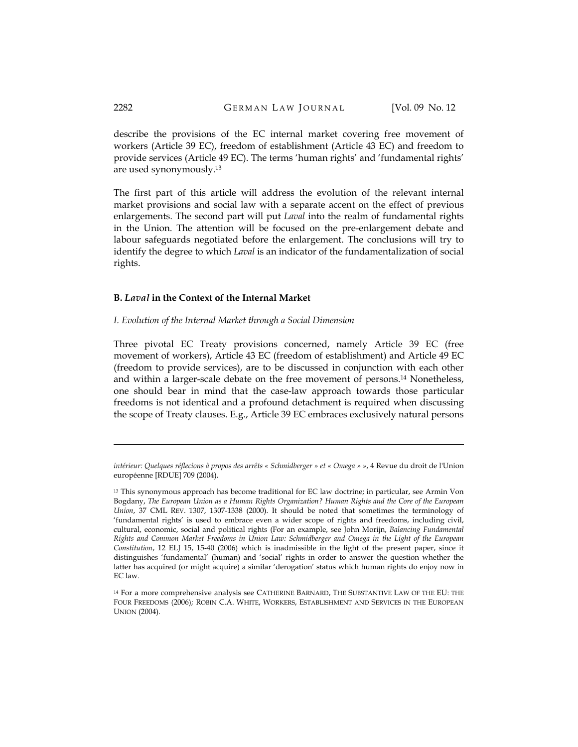describe the provisions of the EC internal market covering free movement of workers (Article 39 EC), freedom of establishment (Article 43 EC) and freedom to provide services (Article 49 EC). The terms 'human rights' and 'fundamental rights' are used synonymously.<sup>13</sup>

The first part of this article will address the evolution of the relevant internal market provisions and social law with a separate accent on the effect of previous enlargements. The second part will put *Laval* into the realm of fundamental rights in the Union. The attention will be focused on the pre-enlargement debate and labour safeguards negotiated before the enlargement. The conclusions will try to identify the degree to which Laval is an indicator of the fundamentalization of social rights.

#### B. Laval in the Context of the Internal Market

#### I. Evolution of the Internal Market through a Social Dimension

Three pivotal EC Treaty provisions concerned, namely Article 39 EC (free movement of workers), Article 43 EC (freedom of establishment) and Article 49 EC (freedom to provide services), are to be discussed in conjunction with each other and within a larger-scale debate on the free movement of persons.14 Nonetheless, one should bear in mind that the case-law approach towards those particular freedoms is not identical and a profound detachment is required when discussing the scope of Treaty clauses. E.g., Article 39 EC embraces exclusively natural persons

intérieur: Quelques réflecions à propos des arrêts « Schmidberger » et « Omega » », 4 Revue du droit de l'Union européenne [RDUE] 709 (2004).

<sup>13</sup> This synonymous approach has become traditional for EC law doctrine; in particular, see Armin Von Bogdany, The European Union as a Human Rights Organization? Human Rights and the Core of the European Union, 37 CML REV. 1307, 1307-1338 (2000). It should be noted that sometimes the terminology of 'fundamental rights' is used to embrace even a wider scope of rights and freedoms, including civil, cultural, economic, social and political rights (For an example, see John Morijn, Balancing Fundamental Rights and Common Market Freedoms in Union Law: Schmidberger and Omega in the Light of the European Constitution, 12 ELJ 15, 15-40 (2006) which is inadmissible in the light of the present paper, since it distinguishes 'fundamental' (human) and 'social' rights in order to answer the question whether the latter has acquired (or might acquire) a similar 'derogation' status which human rights do enjoy now in EC law.

<sup>14</sup> For a more comprehensive analysis see CATHERINE BARNARD, THE SUBSTANTIVE LAW OF THE EU: THE FOUR FREEDOMS (2006); ROBIN C.A. WHITE, WORKERS, ESTABLISHMENT AND SERVICES IN THE EUROPEAN UNION (2004).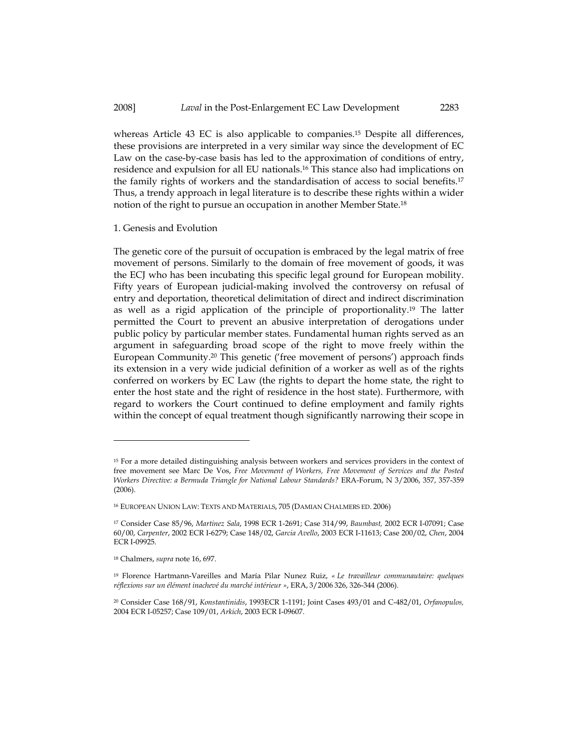whereas Article 43 EC is also applicable to companies.15 Despite all differences, these provisions are interpreted in a very similar way since the development of EC Law on the case-by-case basis has led to the approximation of conditions of entry, residence and expulsion for all EU nationals.16 This stance also had implications on the family rights of workers and the standardisation of access to social benefits.<sup>17</sup> Thus, a trendy approach in legal literature is to describe these rights within a wider notion of the right to pursue an occupation in another Member State.<sup>18</sup>

#### 1. Genesis and Evolution

The genetic core of the pursuit of occupation is embraced by the legal matrix of free movement of persons. Similarly to the domain of free movement of goods, it was the ECJ who has been incubating this specific legal ground for European mobility. Fifty years of European judicial-making involved the controversy on refusal of entry and deportation, theoretical delimitation of direct and indirect discrimination as well as a rigid application of the principle of proportionality.19 The latter permitted the Court to prevent an abusive interpretation of derogations under public policy by particular member states. Fundamental human rights served as an argument in safeguarding broad scope of the right to move freely within the European Community.20 This genetic ('free movement of persons') approach finds its extension in a very wide judicial definition of a worker as well as of the rights conferred on workers by EC Law (the rights to depart the home state, the right to enter the host state and the right of residence in the host state). Furthermore, with regard to workers the Court continued to define employment and family rights within the concept of equal treatment though significantly narrowing their scope in

<sup>15</sup> For a more detailed distinguishing analysis between workers and services providers in the context of free movement see Marc De Vos, Free Movement of Workers, Free Movement of Services and the Posted Workers Directive: a Bermuda Triangle for National Labour Standards? ERA-Forum, N 3/2006, 357, 357-359 (2006).

<sup>16</sup> EUROPEAN UNION LAW: TEXTS AND MATERIALS, 705 (DAMIAN CHALMERS ED. 2006)

<sup>17</sup> Consider Case 85/96, Martinez Sala, 1998 ECR 1-2691; Case 314/99, Baumbast, 2002 ECR I-07091; Case 60/00, Carpenter, 2002 ECR I-6279; Case 148/02, Garcia Avello, 2003 ECR I-11613; Case 200/02, Chen, 2004 ECR I-09925.

<sup>18</sup> Chalmers, supra note 16, 697.

<sup>&</sup>lt;sup>19</sup> Florence Hartmann-Vareilles and María Pilar Nunez Ruiz, « Le travailleur communautaire: quelques réflexions sur un élément inachevé du marché intérieur », ERA, 3/2006 326, 326-344 (2006).

<sup>20</sup> Consider Case 168/91, Konstantinidis, 1993ECR 1-1191; Joint Cases 493/01 and C-482/01, Orfanopulos, 2004 ECR I-05257; Case 109/01, Arkich, 2003 ECR I-09607.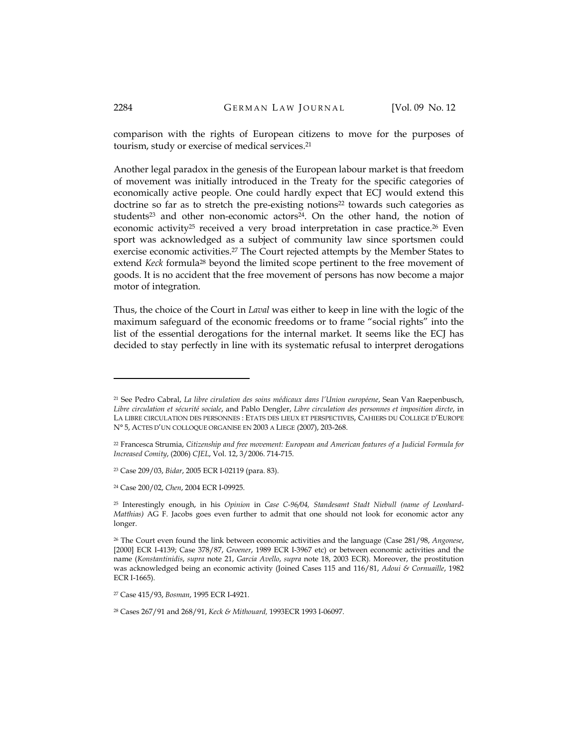comparison with the rights of European citizens to move for the purposes of tourism, study or exercise of medical services.<sup>21</sup>

Another legal paradox in the genesis of the European labour market is that freedom of movement was initially introduced in the Treaty for the specific categories of economically active people. One could hardly expect that ECJ would extend this doctrine so far as to stretch the pre-existing notions<sup>22</sup> towards such categories as students<sup>23</sup> and other non-economic actors<sup>24</sup>. On the other hand, the notion of economic activity<sup>25</sup> received a very broad interpretation in case practice.<sup>26</sup> Even sport was acknowledged as a subject of community law since sportsmen could exercise economic activities.<sup>27</sup> The Court rejected attempts by the Member States to extend Keck formula<sup>28</sup> beyond the limited scope pertinent to the free movement of goods. It is no accident that the free movement of persons has now become a major motor of integration.

Thus, the choice of the Court in Laval was either to keep in line with the logic of the maximum safeguard of the economic freedoms or to frame "social rights" into the list of the essential derogations for the internal market. It seems like the ECJ has decided to stay perfectly in line with its systematic refusal to interpret derogations

<sup>21</sup> See Pedro Cabral, La libre cirulation des soins médicaux dans l'Union européene, Sean Van Raepenbusch, Libre circulation et sécurité sociale, and Pablo Dengler, Libre circulation des personnes et imposition dircte, in LA LIBRE CIRCULATION DES PERSONNES : ETATS DES LIEUX ET PERSPECTIVES, CAHIERS DU COLLEGE D'EUROPE N° 5, ACTES D'UN COLLOQUE ORGANISE EN 2003 A LIEGE (2007), 203-268.

<sup>22</sup> Francesca Strumia, Citizenship and free movement: European and American features of a Judicial Formula for Increased Comity, (2006) CJEL, Vol. 12, 3/2006. 714-715.

<sup>23</sup> Case 209/03, Bidar, 2005 ECR I-02119 (para. 83).

<sup>24</sup> Case 200/02, Chen, 2004 ECR I-09925.

<sup>25</sup> Interestingly enough, in his Opinion in Case C-96/04, Standesamt Stadt Niebull (name of Leonhard-Matthias) AG F. Jacobs goes even further to admit that one should not look for economic actor any longer.

<sup>&</sup>lt;sup>26</sup> The Court even found the link between economic activities and the language (Case 281/98, Angonese, [2000] ECR I-4139; Case 378/87, Groener, 1989 ECR I-3967 etc) or between economic activities and the name (Konstantinidis, supra note 21, Garcia Avello, supra note 18, 2003 ECR). Moreover, the prostitution was acknowledged being an economic activity (Joined Cases 115 and 116/81, Adoui & Cornuaille, 1982 ECR I-1665).

<sup>27</sup> Case 415/93, Bosman, 1995 ECR I-4921.

<sup>28</sup> Cases 267/91 and 268/91, Keck & Mithouard, 1993ECR 1993 I-06097.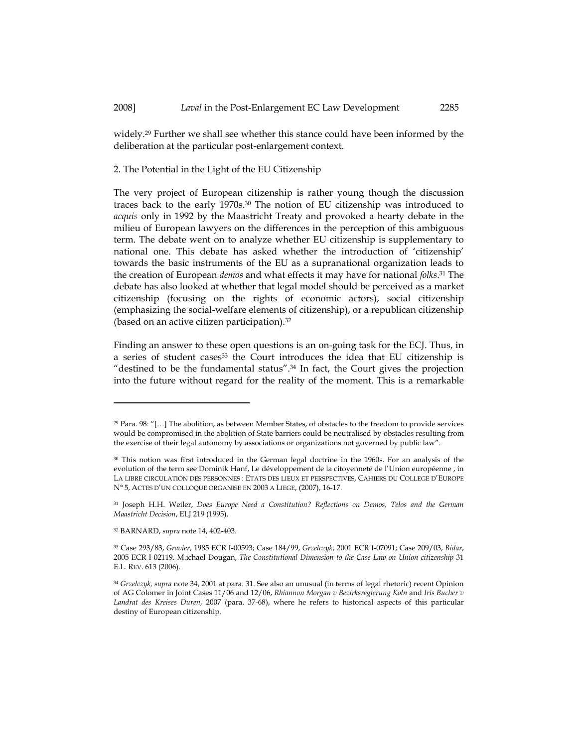widely.29 Further we shall see whether this stance could have been informed by the deliberation at the particular post-enlargement context.

2. The Potential in the Light of the EU Citizenship

The very project of European citizenship is rather young though the discussion traces back to the early 1970s.30 The notion of EU citizenship was introduced to acquis only in 1992 by the Maastricht Treaty and provoked a hearty debate in the milieu of European lawyers on the differences in the perception of this ambiguous term. The debate went on to analyze whether EU citizenship is supplementary to national one. This debate has asked whether the introduction of 'citizenship' towards the basic instruments of the EU as a supranational organization leads to the creation of European *demos* and what effects it may have for national *folks*.<sup>31</sup> The debate has also looked at whether that legal model should be perceived as a market citizenship (focusing on the rights of economic actors), social citizenship (emphasizing the social-welfare elements of citizenship), or a republican citizenship (based on an active citizen participation).<sup>32</sup>

Finding an answer to these open questions is an on-going task for the ECJ. Thus, in a series of student cases<sup>33</sup> the Court introduces the idea that EU citizenship is "destined to be the fundamental status".34 In fact, the Court gives the projection into the future without regard for the reality of the moment. This is a remarkable

<sup>29</sup> Para. 98: "[…] The abolition, as between Member States, of obstacles to the freedom to provide services would be compromised in the abolition of State barriers could be neutralised by obstacles resulting from the exercise of their legal autonomy by associations or organizations not governed by public law".

<sup>&</sup>lt;sup>30</sup> This notion was first introduced in the German legal doctrine in the 1960s. For an analysis of the evolution of the term see Dominik Hanf, Le développement de la citoyenneté de l'Union européenne , in LA LIBRE CIRCULATION DES PERSONNES : ETATS DES LIEUX ET PERSPECTIVES, CAHIERS DU COLLEGE D'EUROPE N° 5, ACTES D'UN COLLOQUE ORGANISE EN 2003 A LIEGE, (2007), 16-17.

<sup>31</sup> Joseph H.H. Weiler, Does Europe Need a Constitution? Reflections on Demos, Telos and the German Maastricht Decision, ELJ 219 (1995).

<sup>32</sup> BARNARD, supra note 14, 402-403.

<sup>33</sup> Case 293/83, Gravier, 1985 ECR I-00593; Case 184/99, Grzelczyk, 2001 ECR I-07091; Case 209/03, Bidar, 2005 ECR I-02119. M.ichael Dougan, The Constitutional Dimension to the Case Law on Union citizenship 31 E.L. REV. 613 (2006).

<sup>34</sup> Grzelczyk, supra note 34, 2001 at para. 31. See also an unusual (in terms of legal rhetoric) recent Opinion of AG Colomer in Joint Cases 11/06 and 12/06, Rhiannon Morgan v Bezirksregierung Koln and Iris Bucher v Landrat des Kreises Duren, 2007 (para. 37-68), where he refers to historical aspects of this particular destiny of European citizenship.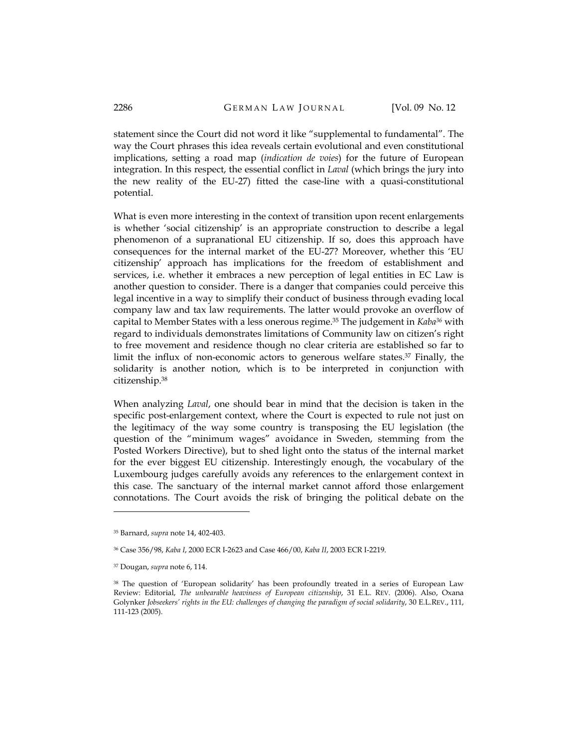statement since the Court did not word it like "supplemental to fundamental". The way the Court phrases this idea reveals certain evolutional and even constitutional implications, setting a road map (indication de voies) for the future of European integration. In this respect, the essential conflict in *Laval* (which brings the jury into the new reality of the EU-27) fitted the case-line with a quasi-constitutional potential.

What is even more interesting in the context of transition upon recent enlargements is whether 'social citizenship' is an appropriate construction to describe a legal phenomenon of a supranational EU citizenship. If so, does this approach have consequences for the internal market of the EU-27? Moreover, whether this 'EU citizenship' approach has implications for the freedom of establishment and services, i.e. whether it embraces a new perception of legal entities in EC Law is another question to consider. There is a danger that companies could perceive this legal incentive in a way to simplify their conduct of business through evading local company law and tax law requirements. The latter would provoke an overflow of capital to Member States with a less onerous regime.<sup>35</sup> The judgement in Kaba<sup>36</sup> with regard to individuals demonstrates limitations of Community law on citizen's right to free movement and residence though no clear criteria are established so far to limit the influx of non-economic actors to generous welfare states.37 Finally, the solidarity is another notion, which is to be interpreted in conjunction with citizenship.<sup>38</sup>

When analyzing *Laval*, one should bear in mind that the decision is taken in the specific post-enlargement context, where the Court is expected to rule not just on the legitimacy of the way some country is transposing the EU legislation (the question of the "minimum wages" avoidance in Sweden, stemming from the Posted Workers Directive), but to shed light onto the status of the internal market for the ever biggest EU citizenship. Interestingly enough, the vocabulary of the Luxembourg judges carefully avoids any references to the enlargement context in this case. The sanctuary of the internal market cannot afford those enlargement connotations. The Court avoids the risk of bringing the political debate on the

<sup>35</sup> Barnard, supra note 14, 402-403.

<sup>36</sup> Case 356/98, Kaba I, 2000 ECR I-2623 and Case 466/00, Kaba II, 2003 ECR I-2219.

<sup>37</sup> Dougan, supra note 6, 114.

<sup>38</sup> The question of 'European solidarity' has been profoundly treated in a series of European Law Review: Editorial, The unbearable heaviness of European citizenship, 31 E.L. REV. (2006). Also, Oxana Golynker Jobseekers' rights in the EU: challenges of changing the paradigm of social solidarity, 30 E.L.REV., 111, 111-123 (2005).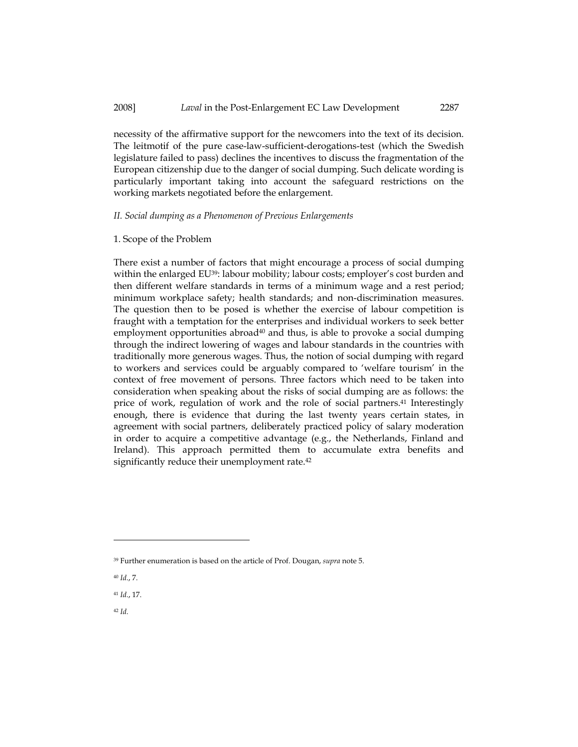#### 2008] Laval in the Post-Enlargement EC Law Development 2287

necessity of the affirmative support for the newcomers into the text of its decision. The leitmotif of the pure case-law-sufficient-derogations-test (which the Swedish legislature failed to pass) declines the incentives to discuss the fragmentation of the European citizenship due to the danger of social dumping. Such delicate wording is particularly important taking into account the safeguard restrictions on the working markets negotiated before the enlargement.

#### II. Social dumping as a Phenomenon of Previous Enlargements

#### 1. Scope of the Problem

There exist a number of factors that might encourage a process of social dumping within the enlarged EU<sup>39</sup>: labour mobility; labour costs; employer's cost burden and then different welfare standards in terms of a minimum wage and a rest period; minimum workplace safety; health standards; and non-discrimination measures. The question then to be posed is whether the exercise of labour competition is fraught with a temptation for the enterprises and individual workers to seek better employment opportunities abroad $40$  and thus, is able to provoke a social dumping through the indirect lowering of wages and labour standards in the countries with traditionally more generous wages. Thus, the notion of social dumping with regard to workers and services could be arguably compared to 'welfare tourism' in the context of free movement of persons. Three factors which need to be taken into consideration when speaking about the risks of social dumping are as follows: the price of work, regulation of work and the role of social partners.41 Interestingly enough, there is evidence that during the last twenty years certain states, in agreement with social partners, deliberately practiced policy of salary moderation in order to acquire a competitive advantage (e.g., the Netherlands, Finland and Ireland). This approach permitted them to accumulate extra benefits and significantly reduce their unemployment rate.<sup>42</sup>

<sup>42</sup> Id.

<sup>&</sup>lt;sup>39</sup> Further enumeration is based on the article of Prof. Dougan, supra note 5.

<sup>40</sup> Id., 7.

<sup>41</sup> Id., 17.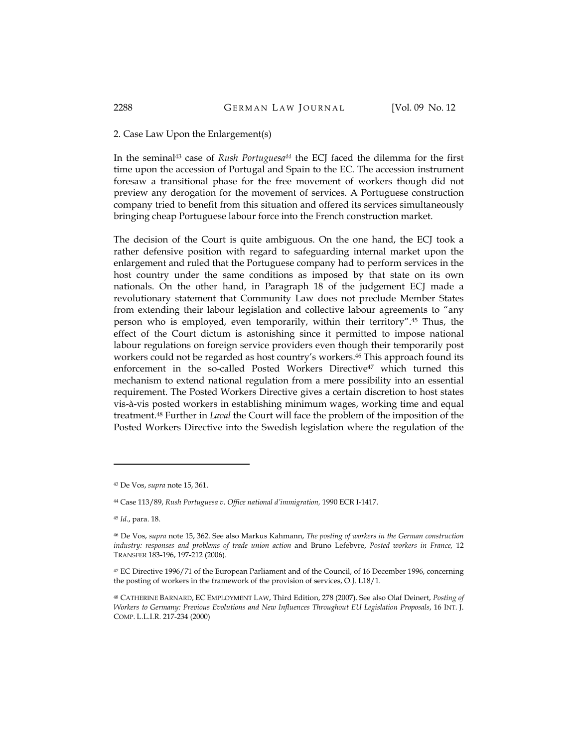#### 2. Case Law Upon the Enlargement(s)

In the seminal<sup>43</sup> case of Rush Portuguesa<sup>44</sup> the ECJ faced the dilemma for the first time upon the accession of Portugal and Spain to the EC. The accession instrument foresaw a transitional phase for the free movement of workers though did not preview any derogation for the movement of services. A Portuguese construction company tried to benefit from this situation and offered its services simultaneously bringing cheap Portuguese labour force into the French construction market.

The decision of the Court is quite ambiguous. On the one hand, the ECJ took a rather defensive position with regard to safeguarding internal market upon the enlargement and ruled that the Portuguese company had to perform services in the host country under the same conditions as imposed by that state on its own nationals. On the other hand, in Paragraph 18 of the judgement ECJ made a revolutionary statement that Community Law does not preclude Member States from extending their labour legislation and collective labour agreements to "any person who is employed, even temporarily, within their territory".45 Thus, the effect of the Court dictum is astonishing since it permitted to impose national labour regulations on foreign service providers even though their temporarily post workers could not be regarded as host country's workers.<sup>46</sup> This approach found its enforcement in the so-called Posted Workers Directive<sup>47</sup> which turned this mechanism to extend national regulation from a mere possibility into an essential requirement. The Posted Workers Directive gives a certain discretion to host states vis-à-vis posted workers in establishing minimum wages, working time and equal treatment.48 Further in Laval the Court will face the problem of the imposition of the Posted Workers Directive into the Swedish legislation where the regulation of the

<sup>43</sup> De Vos, supra note 15, 361.

<sup>44</sup> Case 113/89, Rush Portuguesa v. Office national d'immigration, 1990 ECR I-1417.

<sup>45</sup> Id., para. 18.

<sup>46</sup> De Vos, supra note 15, 362. See also Markus Kahmann, The posting of workers in the German construction industry: responses and problems of trade union action and Bruno Lefebvre, Posted workers in France, 12 TRANSFER 183-196, 197-212 (2006).

<sup>47</sup> EC Directive 1996/71 of the European Parliament and of the Council, of 16 December 1996, concerning the posting of workers in the framework of the provision of services, O.J. L18/1.

<sup>48</sup> CATHERINE BARNARD, EC EMPLOYMENT LAW, Third Edition, 278 (2007). See also Olaf Deinert, Posting of Workers to Germany: Previous Evolutions and New Influences Throughout EU Legislation Proposals, 16 INT. J. COMP. L.L.I.R. 217-234 (2000)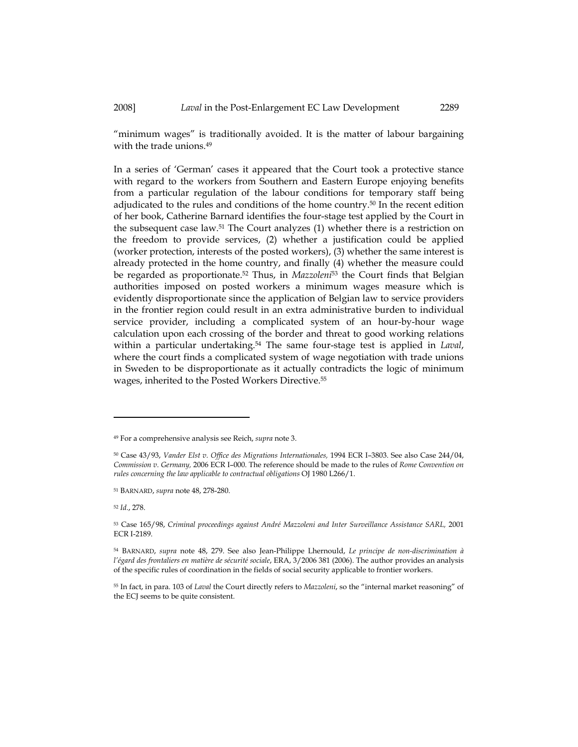"minimum wages" is traditionally avoided. It is the matter of labour bargaining with the trade unions.<sup>49</sup>

In a series of 'German' cases it appeared that the Court took a protective stance with regard to the workers from Southern and Eastern Europe enjoying benefits from a particular regulation of the labour conditions for temporary staff being adjudicated to the rules and conditions of the home country.50 In the recent edition of her book, Catherine Barnard identifies the four-stage test applied by the Court in the subsequent case law.51 The Court analyzes (1) whether there is a restriction on the freedom to provide services, (2) whether a justification could be applied (worker protection, interests of the posted workers), (3) whether the same interest is already protected in the home country, and finally (4) whether the measure could be regarded as proportionate.<sup>52</sup> Thus, in Mazzoleni<sup>53</sup> the Court finds that Belgian authorities imposed on posted workers a minimum wages measure which is evidently disproportionate since the application of Belgian law to service providers in the frontier region could result in an extra administrative burden to individual service provider, including a complicated system of an hour-by-hour wage calculation upon each crossing of the border and threat to good working relations within a particular undertaking.<sup>54</sup> The same four-stage test is applied in *Laval*, where the court finds a complicated system of wage negotiation with trade unions in Sweden to be disproportionate as it actually contradicts the logic of minimum wages, inherited to the Posted Workers Directive.<sup>55</sup>

<sup>49</sup> For a comprehensive analysis see Reich, supra note 3.

<sup>50</sup> Case 43/93, Vander Elst v. Office des Migrations Internationales, 1994 ECR I–3803. See also Case 244/04, Commission v. Germany, 2006 ECR I–000. The reference should be made to the rules of Rome Convention on rules concerning the law applicable to contractual obligations OJ 1980 L266/1.

<sup>51</sup> BARNARD, supra note 48, 278-280.

<sup>52</sup> Id., 278.

<sup>53</sup> Case 165/98, Criminal proceedings against André Mazzoleni and Inter Surveillance Assistance SARL, 2001 ECR I-2189.

<sup>54</sup> BARNARD, supra note 48, 279. See also Jean-Philippe Lhernould, Le principe de non-discrimination à l'égard des frontaliers en matière de sécurité sociale, ERA, 3/2006 381 (2006). The author provides an analysis of the specific rules of coordination in the fields of social security applicable to frontier workers.

<sup>55</sup> In fact, in para. 103 of Laval the Court directly refers to Mazzoleni, so the "internal market reasoning" of the ECJ seems to be quite consistent.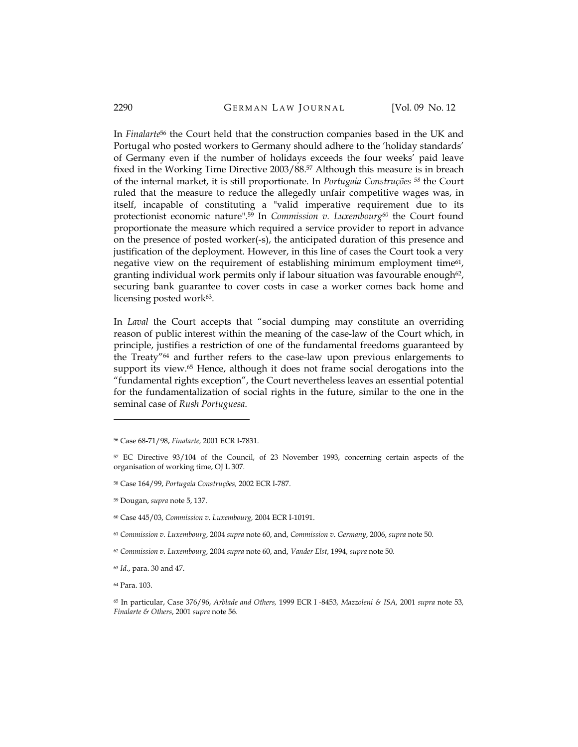#### 2290 **GERMAN LAW JOURNAL** [Vol. 09 No. 12

In Finalarte<sup>56</sup> the Court held that the construction companies based in the UK and Portugal who posted workers to Germany should adhere to the 'holiday standards' of Germany even if the number of holidays exceeds the four weeks' paid leave fixed in the Working Time Directive 2003/88.57 Although this measure is in breach of the internal market, it is still proportionate. In Portugaia Construções 58 the Court ruled that the measure to reduce the allegedly unfair competitive wages was, in itself, incapable of constituting a "valid imperative requirement due to its protectionist economic nature".<sup>59</sup> In *Commission v. Luxembourg*<sup>60</sup> the Court found proportionate the measure which required a service provider to report in advance on the presence of posted worker(-s), the anticipated duration of this presence and justification of the deployment. However, in this line of cases the Court took a very negative view on the requirement of establishing minimum employment time<sup>61</sup>, granting individual work permits only if labour situation was favourable enough<sup>62</sup>, securing bank guarantee to cover costs in case a worker comes back home and licensing posted work63.

In Laval the Court accepts that "social dumping may constitute an overriding reason of public interest within the meaning of the case-law of the Court which, in principle, justifies a restriction of one of the fundamental freedoms guaranteed by the Treaty"64 and further refers to the case-law upon previous enlargements to support its view.<sup>65</sup> Hence, although it does not frame social derogations into the "fundamental rights exception", the Court nevertheless leaves an essential potential for the fundamentalization of social rights in the future, similar to the one in the seminal case of Rush Portuguesa.

<sup>62</sup> Commission v. Luxembourg, 2004 supra note 60, and, Vander Elst, 1994, supra note 50.

<sup>64</sup> Para. 103.

<sup>56</sup> Case 68-71/98, Finalarte, 2001 ECR I-7831.

<sup>57</sup> EC Directive 93/104 of the Council, of 23 November 1993, concerning certain aspects of the organisation of working time, OJ L 307.

<sup>58</sup> Case 164/99, Portugaia Construções, 2002 ECR I-787.

<sup>59</sup> Dougan, supra note 5, 137.

<sup>60</sup> Case 445/03, Commission v. Luxembourg, 2004 ECR I-10191.

 $61$  Commission v. Luxembourg, 2004 supra note 60, and, Commission v. Germany, 2006, supra note 50.

<sup>63</sup> Id., para. 30 and 47.

<sup>65</sup> In particular, Case 376/96, Arblade and Others, 1999 ECR I -8453, Mazzoleni & ISA, 2001 supra note 53, Finalarte & Others, 2001 supra note 56.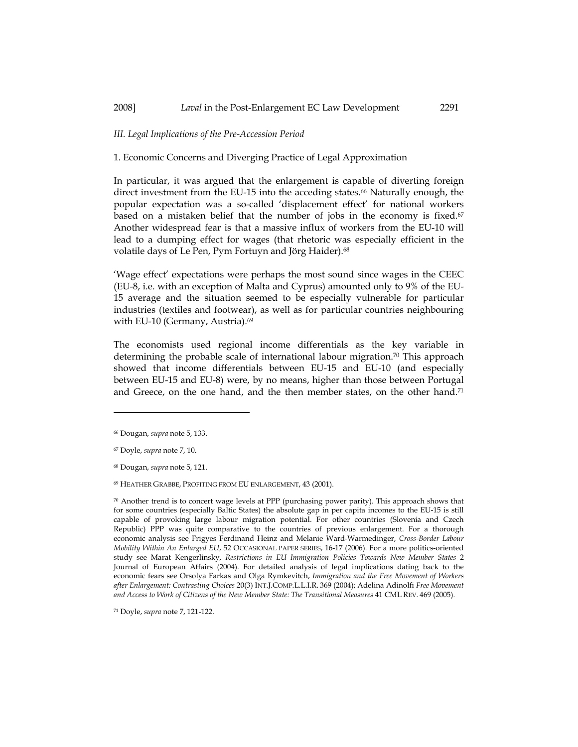#### III. Legal Implications of the Pre-Accession Period

1. Economic Concerns and Diverging Practice of Legal Approximation

In particular, it was argued that the enlargement is capable of diverting foreign direct investment from the EU-15 into the acceding states.66 Naturally enough, the popular expectation was a so-called 'displacement effect' for national workers based on a mistaken belief that the number of jobs in the economy is fixed. $67$ Another widespread fear is that a massive influx of workers from the EU-10 will lead to a dumping effect for wages (that rhetoric was especially efficient in the volatile days of Le Pen, Pym Fortuyn and Jörg Haider).<sup>68</sup>

'Wage effect' expectations were perhaps the most sound since wages in the CEEC (EU-8, i.e. with an exception of Malta and Cyprus) amounted only to 9% of the EU-15 average and the situation seemed to be especially vulnerable for particular industries (textiles and footwear), as well as for particular countries neighbouring with EU-10 (Germany, Austria).<sup>69</sup>

The economists used regional income differentials as the key variable in determining the probable scale of international labour migration.<sup>70</sup> This approach showed that income differentials between EU-15 and EU-10 (and especially between EU-15 and EU-8) were, by no means, higher than those between Portugal and Greece, on the one hand, and the then member states, on the other hand.<sup>71</sup>

<sup>66</sup> Dougan, supra note 5, 133.

<sup>67</sup> Doyle, supra note 7, 10.

<sup>68</sup> Dougan, supra note 5, 121.

<sup>69</sup> HEATHER GRABBE, PROFITING FROM EU ENLARGEMENT, 43 (2001).

 $70$  Another trend is to concert wage levels at PPP (purchasing power parity). This approach shows that for some countries (especially Baltic States) the absolute gap in per capita incomes to the EU-15 is still capable of provoking large labour migration potential. For other countries (Slovenia and Czech Republic) PPP was quite comparative to the countries of previous enlargement. For a thorough economic analysis see Frigyes Ferdinand Heinz and Melanie Ward-Warmedinger, Cross-Border Labour Mobility Within An Enlarged EU, 52 OCCASIONAL PAPER SERIES, 16-17 (2006). For a more politics-oriented study see Marat Kengerlinsky, Restrictions in EU Immigration Policies Towards New Member States 2 Journal of European Affairs (2004). For detailed analysis of legal implications dating back to the economic fears see Orsolya Farkas and Olga Rymkevitch, Immigration and the Free Movement of Workers after Enlargement: Contrasting Choices 20(3) INT.J.COMP.L.L.I.R. 369 (2004); Adelina Adinolfi Free Movement and Access to Work of Citizens of the New Member State: The Transitional Measures 41 CML REV. 469 (2005).

<sup>71</sup> Doyle, supra note 7, 121-122.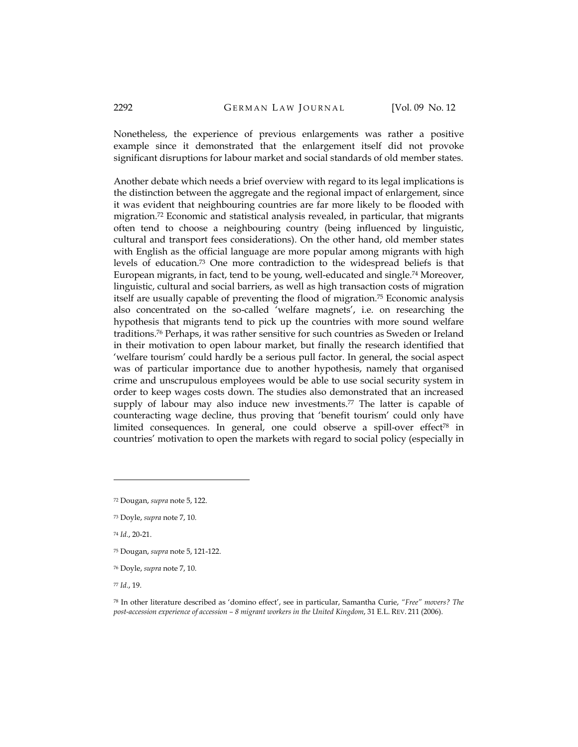Nonetheless, the experience of previous enlargements was rather a positive example since it demonstrated that the enlargement itself did not provoke significant disruptions for labour market and social standards of old member states.

Another debate which needs a brief overview with regard to its legal implications is the distinction between the aggregate and the regional impact of enlargement, since it was evident that neighbouring countries are far more likely to be flooded with migration.72 Economic and statistical analysis revealed, in particular, that migrants often tend to choose a neighbouring country (being influenced by linguistic, cultural and transport fees considerations). On the other hand, old member states with English as the official language are more popular among migrants with high levels of education.73 One more contradiction to the widespread beliefs is that European migrants, in fact, tend to be young, well-educated and single.74 Moreover, linguistic, cultural and social barriers, as well as high transaction costs of migration itself are usually capable of preventing the flood of migration.75 Economic analysis also concentrated on the so-called 'welfare magnets', i.e. on researching the hypothesis that migrants tend to pick up the countries with more sound welfare traditions.76 Perhaps, it was rather sensitive for such countries as Sweden or Ireland in their motivation to open labour market, but finally the research identified that 'welfare tourism' could hardly be a serious pull factor. In general, the social aspect was of particular importance due to another hypothesis, namely that organised crime and unscrupulous employees would be able to use social security system in order to keep wages costs down. The studies also demonstrated that an increased supply of labour may also induce new investments.<sup>77</sup> The latter is capable of counteracting wage decline, thus proving that 'benefit tourism' could only have limited consequences. In general, one could observe a spill-over effect<sup>78</sup> in countries' motivation to open the markets with regard to social policy (especially in

<sup>74</sup> Id., 20-21.

l

- <sup>75</sup> Dougan, supra note 5, 121-122.
- <sup>76</sup> Doyle, supra note 7, 10.

<sup>77</sup> Id., 19.

<sup>72</sup> Dougan, supra note 5, 122.

<sup>73</sup> Doyle, supra note 7, 10.

<sup>78</sup> In other literature described as 'domino effect', see in particular, Samantha Curie, "Free" movers? The post-accession experience of accession – 8 migrant workers in the United Kingdom, 31 E.L. REV. 211 (2006).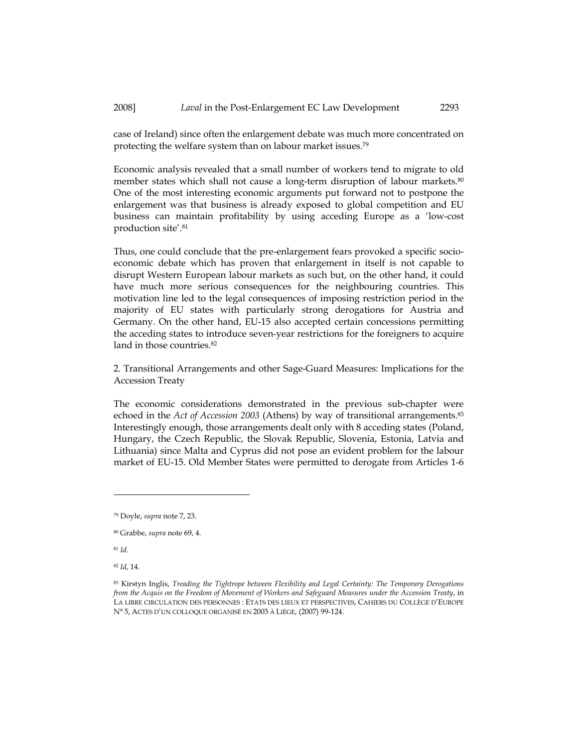case of Ireland) since often the enlargement debate was much more concentrated on protecting the welfare system than on labour market issues.<sup>79</sup>

Economic analysis revealed that a small number of workers tend to migrate to old member states which shall not cause a long-term disruption of labour markets.<sup>80</sup> One of the most interesting economic arguments put forward not to postpone the enlargement was that business is already exposed to global competition and EU business can maintain profitability by using acceding Europe as a 'low-cost production site'.<sup>81</sup>

Thus, one could conclude that the pre-enlargement fears provoked a specific socioeconomic debate which has proven that enlargement in itself is not capable to disrupt Western European labour markets as such but, on the other hand, it could have much more serious consequences for the neighbouring countries. This motivation line led to the legal consequences of imposing restriction period in the majority of EU states with particularly strong derogations for Austria and Germany. On the other hand, EU-15 also accepted certain concessions permitting the acceding states to introduce seven-year restrictions for the foreigners to acquire land in those countries.<sup>82</sup>

2. Transitional Arrangements and other Sage-Guard Measures: Implications for the Accession Treaty

The economic considerations demonstrated in the previous sub-chapter were echoed in the Act of Accession 2003 (Athens) by way of transitional arrangements.<sup>83</sup> Interestingly enough, those arrangements dealt only with 8 acceding states (Poland, Hungary, the Czech Republic, the Slovak Republic, Slovenia, Estonia, Latvia and Lithuania) since Malta and Cyprus did not pose an evident problem for the labour market of EU-15. Old Member States were permitted to derogate from Articles 1-6

 $^{81}\,Id.$ 

l

<sup>82</sup> Id, 14.

<sup>79</sup> Doyle, supra note 7, 23.

<sup>80</sup> Grabbe, supra note 69, 4.

<sup>83</sup> Kirstyn Inglis, Treading the Tightrope between Flexibility and Legal Certainty: The Temporary Derogations from the Acquis on the Freedom of Movement of Workers and Safeguard Measures under the Accession Treaty, in LA LIBRE CIRCULATION DES PERSONNES : ETATS DES LIEUX ET PERSPECTIVES, CAHIERS DU COLLÈGE D'EUROPE N° 5, ACTES D'UN COLLOQUE ORGANISÉ EN 2003 À LIÈGE, (2007) 99-124.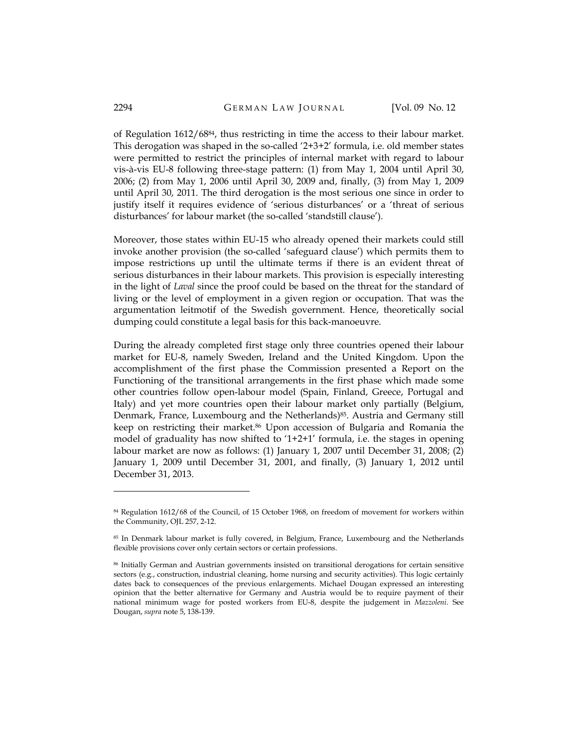of Regulation 1612/6884, thus restricting in time the access to their labour market. This derogation was shaped in the so-called '2+3+2' formula, i.e. old member states were permitted to restrict the principles of internal market with regard to labour vis-à-vis EU-8 following three-stage pattern: (1) from May 1, 2004 until April 30, 2006; (2) from May 1, 2006 until April 30, 2009 and, finally, (3) from May 1, 2009 until April 30, 2011. The third derogation is the most serious one since in order to justify itself it requires evidence of 'serious disturbances' or a 'threat of serious disturbances' for labour market (the so-called 'standstill clause').

Moreover, those states within EU-15 who already opened their markets could still invoke another provision (the so-called 'safeguard clause') which permits them to impose restrictions up until the ultimate terms if there is an evident threat of serious disturbances in their labour markets. This provision is especially interesting in the light of Laval since the proof could be based on the threat for the standard of living or the level of employment in a given region or occupation. That was the argumentation leitmotif of the Swedish government. Hence, theoretically social dumping could constitute a legal basis for this back-manoeuvre.

During the already completed first stage only three countries opened their labour market for EU-8, namely Sweden, Ireland and the United Kingdom. Upon the accomplishment of the first phase the Commission presented a Report on the Functioning of the transitional arrangements in the first phase which made some other countries follow open-labour model (Spain, Finland, Greece, Portugal and Italy) and yet more countries open their labour market only partially (Belgium, Denmark, France, Luxembourg and the Netherlands)<sup>85</sup>. Austria and Germany still keep on restricting their market.86 Upon accession of Bulgaria and Romania the model of graduality has now shifted to '1+2+1' formula, i.e. the stages in opening labour market are now as follows: (1) January 1, 2007 until December 31, 2008; (2) January 1, 2009 until December 31, 2001, and finally, (3) January 1, 2012 until December 31, 2013.

<sup>84</sup> Regulation 1612/68 of the Council, of 15 October 1968, on freedom of movement for workers within the Community, OJL 257, 2-12.

<sup>85</sup> In Denmark labour market is fully covered, in Belgium, France, Luxembourg and the Netherlands flexible provisions cover only certain sectors or certain professions.

<sup>86</sup> Initially German and Austrian governments insisted on transitional derogations for certain sensitive sectors (e.g., construction, industrial cleaning, home nursing and security activities). This logic certainly dates back to consequences of the previous enlargements. Michael Dougan expressed an interesting opinion that the better alternative for Germany and Austria would be to require payment of their national minimum wage for posted workers from EU-8, despite the judgement in Mazzoleni. See Dougan, supra note 5, 138-139.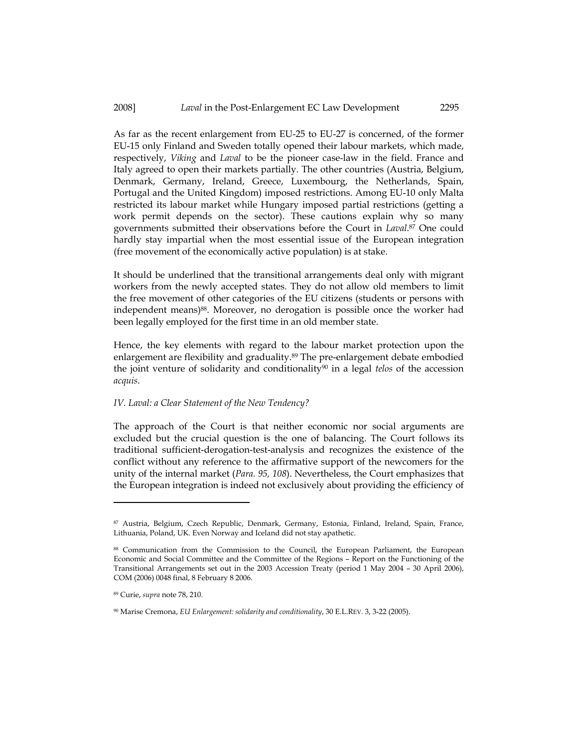As far as the recent enlargement from EU-25 to EU-27 is concerned, of the former EU-15 only Finland and Sweden totally opened their labour markets, which made, respectively, Viking and Laval to be the pioneer case-law in the field. France and Italy agreed to open their markets partially. The other countries (Austria, Belgium, Denmark, Germany, Ireland, Greece, Luxembourg, the Netherlands, Spain, Portugal and the United Kingdom) imposed restrictions. Among EU-10 only Malta restricted its labour market while Hungary imposed partial restrictions (getting a work permit depends on the sector). These cautions explain why so many governments submitted their observations before the Court in Laval.<sup>87</sup> One could hardly stay impartial when the most essential issue of the European integration (free movement of the economically active population) is at stake.

It should be underlined that the transitional arrangements deal only with migrant workers from the newly accepted states. They do not allow old members to limit the free movement of other categories of the EU citizens (students or persons with independent means)<sup>88</sup>. Moreover, no derogation is possible once the worker had been legally employed for the first time in an old member state.

Hence, the key elements with regard to the labour market protection upon the enlargement are flexibility and graduality.<sup>89</sup> The pre-enlargement debate embodied the joint venture of solidarity and conditionality<sup>90</sup> in a legal telos of the accession acquis.

#### IV. Laval: a Clear Statement of the New Tendency?

The approach of the Court is that neither economic nor social arguments are excluded but the crucial question is the one of balancing. The Court follows its traditional sufficient-derogation-test-analysis and recognizes the existence of the conflict without any reference to the affirmative support of the newcomers for the unity of the internal market (Para. 95, 108). Nevertheless, the Court emphasizes that the European integration is indeed not exclusively about providing the efficiency of

<sup>87</sup> Austria, Belgium, Czech Republic, Denmark, Germany, Estonia, Finland, Ireland, Spain, France, Lithuania, Poland, UK. Even Norway and Iceland did not stay apathetic.

<sup>88</sup> Communication from the Commission to the Council, the European Parliament, the European Economic and Social Committee and the Committee of the Regions – Report on the Functioning of the Transitional Arrangements set out in the 2003 Accession Treaty (period 1 May 2004 – 30 April 2006), COM (2006) 0048 final, 8 February 8 2006.

<sup>89</sup> Curie, supra note 78, 210.

<sup>90</sup> Marise Cremona, EU Enlargement: solidarity and conditionality, 30 E.L.REV. 3, 3-22 (2005).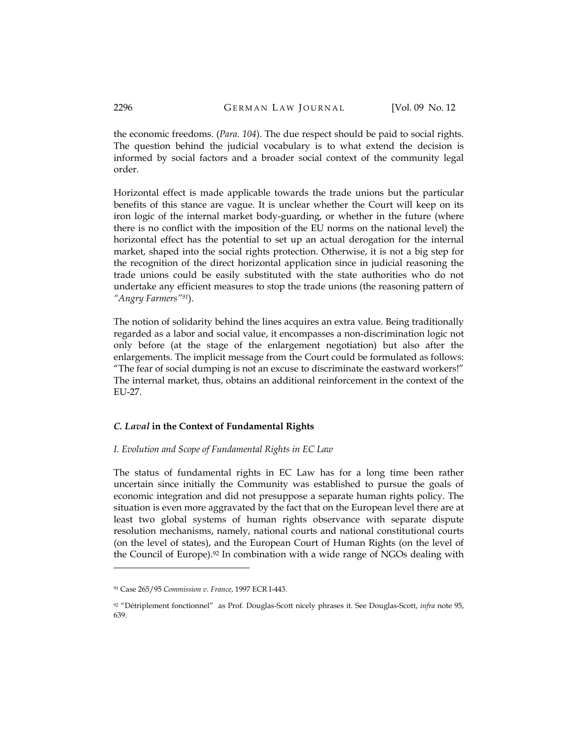the economic freedoms. (Para. 104). The due respect should be paid to social rights. The question behind the judicial vocabulary is to what extend the decision is informed by social factors and a broader social context of the community legal order.

Horizontal effect is made applicable towards the trade unions but the particular benefits of this stance are vague. It is unclear whether the Court will keep on its iron logic of the internal market body-guarding, or whether in the future (where there is no conflict with the imposition of the EU norms on the national level) the horizontal effect has the potential to set up an actual derogation for the internal market, shaped into the social rights protection. Otherwise, it is not a big step for the recognition of the direct horizontal application since in judicial reasoning the trade unions could be easily substituted with the state authorities who do not undertake any efficient measures to stop the trade unions (the reasoning pattern of "Angry Farmers"<sup>91</sup>).

The notion of solidarity behind the lines acquires an extra value. Being traditionally regarded as a labor and social value, it encompasses a non-discrimination logic not only before (at the stage of the enlargement negotiation) but also after the enlargements. The implicit message from the Court could be formulated as follows: "The fear of social dumping is not an excuse to discriminate the eastward workers!" The internal market, thus, obtains an additional reinforcement in the context of the EU-27.

## C. Laval in the Context of Fundamental Rights

## I. Evolution and Scope of Fundamental Rights in EC Law

The status of fundamental rights in EC Law has for a long time been rather uncertain since initially the Community was established to pursue the goals of economic integration and did not presuppose a separate human rights policy. The situation is even more aggravated by the fact that on the European level there are at least two global systems of human rights observance with separate dispute resolution mechanisms, namely, national courts and national constitutional courts (on the level of states), and the European Court of Human Rights (on the level of the Council of Europe).<sup>92</sup> In combination with a wide range of NGOs dealing with

<sup>91</sup> Case 265/95 Commission v. France, 1997 ECR I-443.

<sup>92 &</sup>quot;Détriplement fonctionnel" as Prof. Douglas-Scott nicely phrases it. See Douglas-Scott, infra note 95, 639.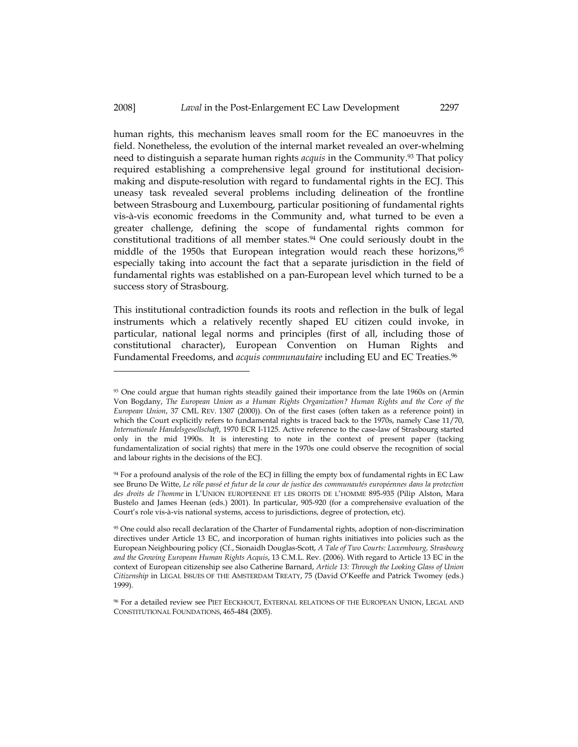#### 2008] *Laval* in the Post-Enlargement EC Law Development 2297

human rights, this mechanism leaves small room for the EC manoeuvres in the field. Nonetheless, the evolution of the internal market revealed an over-whelming need to distinguish a separate human rights *acquis* in the Community.<sup>93</sup> That policy required establishing a comprehensive legal ground for institutional decisionmaking and dispute-resolution with regard to fundamental rights in the ECJ. This uneasy task revealed several problems including delineation of the frontline between Strasbourg and Luxembourg, particular positioning of fundamental rights vis-à-vis economic freedoms in the Community and, what turned to be even a greater challenge, defining the scope of fundamental rights common for constitutional traditions of all member states.<sup>94</sup> One could seriously doubt in the middle of the 1950s that European integration would reach these horizons, <sup>95</sup> especially taking into account the fact that a separate jurisdiction in the field of fundamental rights was established on a pan-European level which turned to be a success story of Strasbourg.

This institutional contradiction founds its roots and reflection in the bulk of legal instruments which a relatively recently shaped EU citizen could invoke, in particular, national legal norms and principles (first of all, including those of constitutional character), European Convention on Human Rights and Fundamental Freedoms, and *acquis communautaire* including EU and EC Treaties.<sup>96</sup>

<sup>93</sup> One could argue that human rights steadily gained their importance from the late 1960s on (Armin Von Bogdany, The European Union as a Human Rights Organization? Human Rights and the Core of the European Union, 37 CML REV. 1307 (2000)). On of the first cases (often taken as a reference point) in which the Court explicitly refers to fundamental rights is traced back to the 1970s, namely Case 11/70, Internationale Handelsgesellschaft, 1970 ECR I-1125. Active reference to the case-law of Strasbourg started only in the mid 1990s. It is interesting to note in the context of present paper (tacking fundamentalization of social rights) that mere in the 1970s one could observe the recognition of social and labour rights in the decisions of the ECJ.

<sup>94</sup> For a profound analysis of the role of the ECJ in filling the empty box of fundamental rights in EC Law see Bruno De Witte, Le rôle passé et futur de la cour de justice des communautés européennes dans la protection des droits de l'homme in L'UNION EUROPEENNE ET LES DROITS DE L'HOMME 895-935 (Pilip Alston, Mara Bustelo and James Heenan (eds.) 2001). In particular, 905-920 (for a comprehensive evaluation of the Court's role vis-à-vis national systems, access to jurisdictions, degree of protection, etc).

<sup>95</sup> One could also recall declaration of the Charter of Fundamental rights, adoption of non-discrimination directives under Article 13 EC, and incorporation of human rights initiatives into policies such as the European Neighbouring policy (Cf., Sionaidh Douglas-Scott, A Tale of Two Courts: Luxembourg, Strasbourg and the Growing European Human Rights Acquis, 13 C.M.L. Rev. (2006). With regard to Article 13 EC in the context of European citizenship see also Catherine Barnard, Article 13: Through the Looking Glass of Union Citizenship in LEGAL ISSUES OF THE AMSTERDAM TREATY, 75 (David O'Keeffe and Patrick Twomey (eds.) 1999).

<sup>96</sup> For a detailed review see PIET EECKHOUT, EXTERNAL RELATIONS OF THE EUROPEAN UNION, LEGAL AND CONSTITUTIONAL FOUNDATIONS, 465-484 (2005).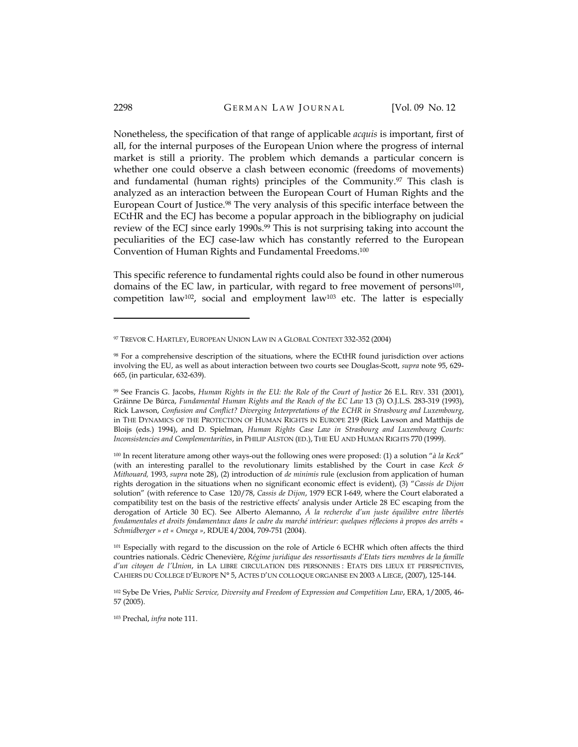Nonetheless, the specification of that range of applicable acquis is important, first of all, for the internal purposes of the European Union where the progress of internal market is still a priority. The problem which demands a particular concern is whether one could observe a clash between economic (freedoms of movements) and fundamental (human rights) principles of the Community.97 This clash is analyzed as an interaction between the European Court of Human Rights and the European Court of Justice.98 The very analysis of this specific interface between the ECtHR and the ECJ has become a popular approach in the bibliography on judicial review of the ECJ since early 1990s.<sup>99</sup> This is not surprising taking into account the peculiarities of the ECJ case-law which has constantly referred to the European Convention of Human Rights and Fundamental Freedoms. $^{100}$ 

This specific reference to fundamental rights could also be found in other numerous domains of the EC law, in particular, with regard to free movement of persons<sup>101</sup>, competition law102, social and employment law103 etc. The latter is especially

<sup>101</sup> Especially with regard to the discussion on the role of Article 6 ECHR which often affects the third countries nationals. Cédric Chenevière, Régime juridique des ressortissants d'Etats tiers membres de la famille d'un citoyen de l'Union, in LA LIBRE CIRCULATION DES PERSONNES : ETATS DES LIEUX ET PERSPECTIVES, CAHIERS DU COLLEGE D'EUROPE N° 5, ACTES D'UN COLLOQUE ORGANISE EN 2003 A LIEGE, (2007), 125-144.

103 Prechal, infra note 111.

<sup>97</sup> TREVOR C. HARTLEY, EUROPEAN UNION LAW IN A GLOBAL CONTEXT 332-352 (2004)

<sup>98</sup> For a comprehensive description of the situations, where the ECtHR found jurisdiction over actions involving the EU, as well as about interaction between two courts see Douglas-Scott, supra note 95, 629- 665, (in particular, 632-639).

<sup>99</sup> See Francis G. Jacobs, Human Rights in the EU: the Role of the Court of Justice 26 E.L. REV. 331 (2001), Gráinne De Búrca, Fundamental Human Rights and the Reach of the EC Law 13 (3) O.J.L.S. 283-319 (1993), Rick Lawson, Confusion and Conflict? Diverging Interpretations of the ECHR in Strasbourg and Luxembourg, in THE DYNAMICS OF THE PROTECTION OF HUMAN RIGHTS IN EUROPE 219 (Rick Lawson and Matthijs de Bloijs (eds.) 1994), and D. Spielman, Human Rights Case Law in Strasbourg and Luxembourg Courts: Inconsistencies and Complementarities, in PHILIP ALSTON (ED.), THE EU AND HUMAN RIGHTS 770 (1999).

 $100$  In recent literature among other ways-out the following ones were proposed: (1) a solution "à la Keck" (with an interesting parallel to the revolutionary limits established by the Court in case Keck & Mithouard, 1993, supra note 28), (2) introduction of de minimis rule (exclusion from application of human rights derogation in the situations when no significant economic effect is evident), (3) "Cassis de Dijon solution" (with reference to Case 120/78, Cassis de Dijon, 1979 ECR I-649, where the Court elaborated a compatibility test on the basis of the restrictive effects' analysis under Article 28 EC escaping from the derogation of Article 30 EC). See Alberto Alemanno, Á la recherche d'un juste équilibre entre libertés fondamentales et droits fondamentaux dans le cadre du marché intérieur: quelques réflecions à propos des arrêts « Schmidberger » et « Omega », RDUE 4/2004, 709-751 (2004).

<sup>102</sup> Sybe De Vries, Public Service, Diversity and Freedom of Expression and Competition Law, ERA, 1/2005, 46- 57 (2005).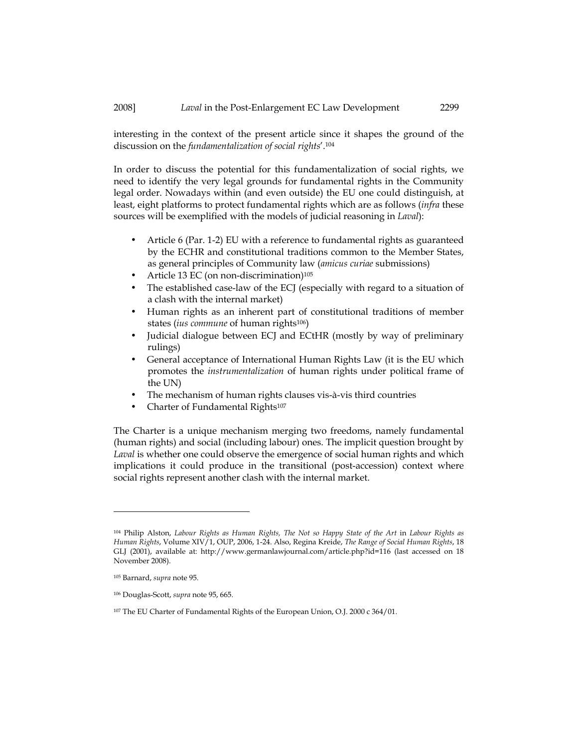interesting in the context of the present article since it shapes the ground of the discussion on the fundamentalization of social rights'.<sup>104</sup>

In order to discuss the potential for this fundamentalization of social rights, we need to identify the very legal grounds for fundamental rights in the Community legal order. Nowadays within (and even outside) the EU one could distinguish, at least, eight platforms to protect fundamental rights which are as follows (infra these sources will be exemplified with the models of judicial reasoning in Laval):

- Article 6 (Par. 1-2) EU with a reference to fundamental rights as guaranteed by the ECHR and constitutional traditions common to the Member States, as general principles of Community law (amicus curiae submissions)
- Article 13 EC (on non-discrimination)<sup>105</sup>
- The established case-law of the ECJ (especially with regard to a situation of a clash with the internal market)
- Human rights as an inherent part of constitutional traditions of member states *(ius commune* of human rights<sup>106</sup>)
- Judicial dialogue between ECJ and ECtHR (mostly by way of preliminary rulings)
- General acceptance of International Human Rights Law (it is the EU which promotes the instrumentalization of human rights under political frame of the UN)
- The mechanism of human rights clauses vis-à-vis third countries
- Charter of Fundamental Rights<sup>107</sup>

The Charter is a unique mechanism merging two freedoms, namely fundamental (human rights) and social (including labour) ones. The implicit question brought by Laval is whether one could observe the emergence of social human rights and which implications it could produce in the transitional (post-accession) context where social rights represent another clash with the internal market.

<sup>104</sup> Philip Alston, Labour Rights as Human Rights, The Not so Happy State of the Art in Labour Rights as Human Rights, Volume XIV/1, OUP, 2006, 1-24. Also, Regina Kreide, The Range of Social Human Rights, 18 GLJ (2001), available at: http://www.germanlawjournal.com/article.php?id=116 (last accessed on 18 November 2008).

<sup>105</sup> Barnard, supra note 95.

<sup>106</sup> Douglas-Scott, supra note 95, 665.

<sup>107</sup> The EU Charter of Fundamental Rights of the European Union, O.J. 2000 c 364/01.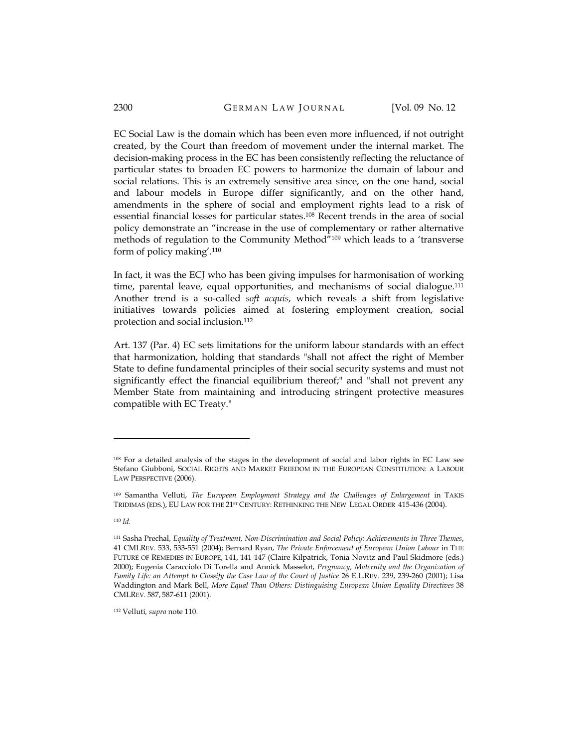EC Social Law is the domain which has been even more influenced, if not outright created, by the Court than freedom of movement under the internal market. The decision-making process in the EC has been consistently reflecting the reluctance of particular states to broaden EC powers to harmonize the domain of labour and social relations. This is an extremely sensitive area since, on the one hand, social and labour models in Europe differ significantly, and on the other hand, amendments in the sphere of social and employment rights lead to a risk of essential financial losses for particular states.108 Recent trends in the area of social policy demonstrate an "increase in the use of complementary or rather alternative methods of regulation to the Community Method"109 which leads to a 'transverse form of policy making'.<sup>110</sup>

In fact, it was the ECJ who has been giving impulses for harmonisation of working time, parental leave, equal opportunities, and mechanisms of social dialogue.<sup>111</sup> Another trend is a so-called *soft acquis*, which reveals a shift from legislative initiatives towards policies aimed at fostering employment creation, social protection and social inclusion.<sup>112</sup>

Art. 137 (Par. 4) EC sets limitations for the uniform labour standards with an effect that harmonization, holding that standards "shall not affect the right of Member State to define fundamental principles of their social security systems and must not significantly effect the financial equilibrium thereof;" and "shall not prevent any Member State from maintaining and introducing stringent protective measures compatible with EC Treaty."

l

112 Velluti, supra note 110.

<sup>108</sup> For a detailed analysis of the stages in the development of social and labor rights in EC Law see Stefano Giubboni, SOCIAL RIGHTS AND MARKET FREEDOM IN THE EUROPEAN CONSTITUTION: A LABOUR LAW PERSPECTIVE (2006).

<sup>109</sup> Samantha Velluti, The European Employment Strategy and the Challenges of Enlargement in TAKIS TRIDIMAS (EDS.), EU LAW FOR THE 21ST CENTURY: RETHINKING THE NEW LEGAL ORDER 415-436 (2004).

<sup>110</sup> Id.

<sup>111</sup> Sasha Prechal, Equality of Treatment, Non-Discrimination and Social Policy: Achievements in Three Themes, 41 CMLREV. 533, 533-551 (2004); Bernard Ryan, The Private Enforcement of European Union Labour in THE FUTURE OF REMEDIES IN EUROPE, 141, 141-147 (Claire Kilpatrick, Tonia Novitz and Paul Skidmore (eds.) 2000); Eugenia Caracciolo Di Torella and Annick Masselot, Pregnancy, Maternity and the Organization of Family Life: an Attempt to Classify the Case Law of the Court of Justice 26 E.L.REV. 239, 239-260 (2001); Lisa Waddington and Mark Bell, More Equal Than Others: Distinguising European Union Equality Directives 38 CMLREV. 587, 587-611 (2001).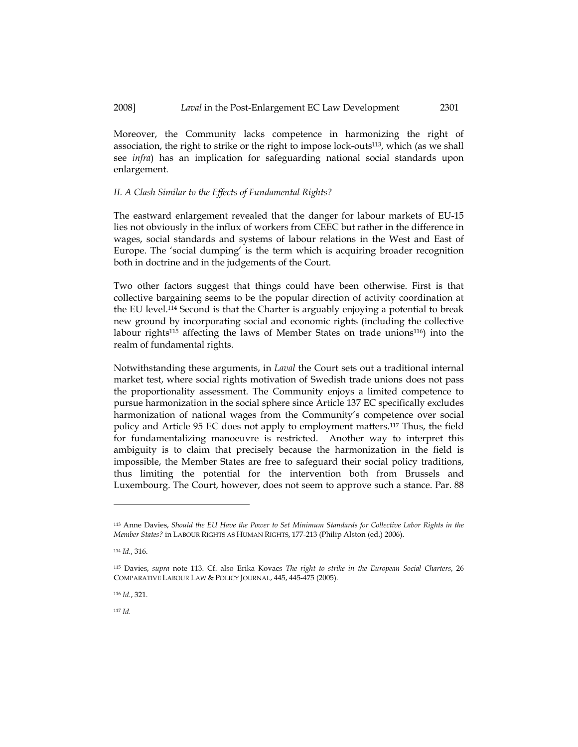Moreover, the Community lacks competence in harmonizing the right of association, the right to strike or the right to impose lock-outs113, which (as we shall see infra) has an implication for safeguarding national social standards upon enlargement.

### II. A Clash Similar to the Effects of Fundamental Rights?

The eastward enlargement revealed that the danger for labour markets of EU-15 lies not obviously in the influx of workers from CEEC but rather in the difference in wages, social standards and systems of labour relations in the West and East of Europe. The 'social dumping' is the term which is acquiring broader recognition both in doctrine and in the judgements of the Court.

Two other factors suggest that things could have been otherwise. First is that collective bargaining seems to be the popular direction of activity coordination at the EU level.114 Second is that the Charter is arguably enjoying a potential to break new ground by incorporating social and economic rights (including the collective labour rights115 affecting the laws of Member States on trade unions116) into the realm of fundamental rights.

Notwithstanding these arguments, in Laval the Court sets out a traditional internal market test, where social rights motivation of Swedish trade unions does not pass the proportionality assessment. The Community enjoys a limited competence to pursue harmonization in the social sphere since Article 137 EC specifically excludes harmonization of national wages from the Community's competence over social policy and Article 95 EC does not apply to employment matters.117 Thus, the field for fundamentalizing manoeuvre is restricted. Another way to interpret this ambiguity is to claim that precisely because the harmonization in the field is impossible, the Member States are free to safeguard their social policy traditions, thus limiting the potential for the intervention both from Brussels and Luxembourg. The Court, however, does not seem to approve such a stance. Par. 88

l

<sup>116</sup> Id., 321.

<sup>117</sup> Id.

<sup>113</sup> Anne Davies, Should the EU Have the Power to Set Minimum Standards for Collective Labor Rights in the Member States? in LABOUR RIGHTS AS HUMAN RIGHTS, 177-213 (Philip Alston (ed.) 2006).

<sup>114</sup>  $Id$  316.

<sup>115</sup> Davies, supra note 113. Cf. also Erika Kovacs The right to strike in the European Social Charters, 26 COMPARATIVE LABOUR LAW & POLICY JOURNAL, 445, 445-475 (2005).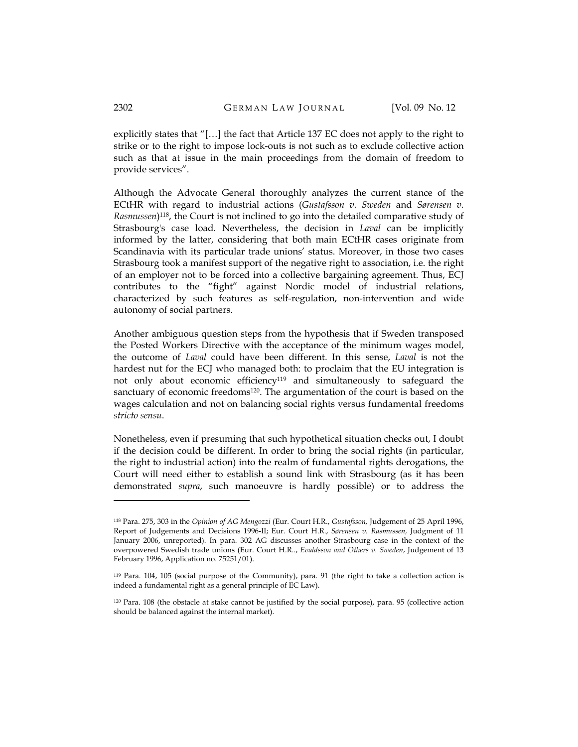explicitly states that "[…] the fact that Article 137 EC does not apply to the right to strike or to the right to impose lock-outs is not such as to exclude collective action such as that at issue in the main proceedings from the domain of freedom to provide services".

Although the Advocate General thoroughly analyzes the current stance of the ECtHR with regard to industrial actions (Gustafsson v. Sweden and Sørensen v. Rasmussen)<sup>118</sup>, the Court is not inclined to go into the detailed comparative study of Strasbourg's case load. Nevertheless, the decision in Laval can be implicitly informed by the latter, considering that both main ECtHR cases originate from Scandinavia with its particular trade unions' status. Moreover, in those two cases Strasbourg took a manifest support of the negative right to association, i.e. the right of an employer not to be forced into a collective bargaining agreement. Thus, ECJ contributes to the "fight" against Nordic model of industrial relations, characterized by such features as self-regulation, non-intervention and wide autonomy of social partners.

Another ambiguous question steps from the hypothesis that if Sweden transposed the Posted Workers Directive with the acceptance of the minimum wages model, the outcome of Laval could have been different. In this sense, Laval is not the hardest nut for the ECJ who managed both: to proclaim that the EU integration is not only about economic efficiency119 and simultaneously to safeguard the sanctuary of economic freedoms<sup>120</sup>. The argumentation of the court is based on the wages calculation and not on balancing social rights versus fundamental freedoms stricto sensu.

Nonetheless, even if presuming that such hypothetical situation checks out, I doubt if the decision could be different. In order to bring the social rights (in particular, the right to industrial action) into the realm of fundamental rights derogations, the Court will need either to establish a sound link with Strasbourg (as it has been demonstrated supra, such manoeuvre is hardly possible) or to address the

<sup>118</sup> Para. 275, 303 in the Opinion of AG Mengozzi (Eur. Court H.R., Gustafsson, Judgement of 25 April 1996, Report of Judgements and Decisions 1996-II; Eur. Court H.R., Sørensen v. Rasmussen, Judgment of 11 January 2006, unreported). In para. 302 AG discusses another Strasbourg case in the context of the overpowered Swedish trade unions (Eur. Court H.R.., Evaldsson and Others v. Sweden, Judgement of 13 February 1996, Application no. 75251/01).

<sup>119</sup> Para. 104, 105 (social purpose of the Community), para. 91 (the right to take a collection action is indeed a fundamental right as a general principle of EC Law).

<sup>120</sup> Para. 108 (the obstacle at stake cannot be justified by the social purpose), para. 95 (collective action should be balanced against the internal market).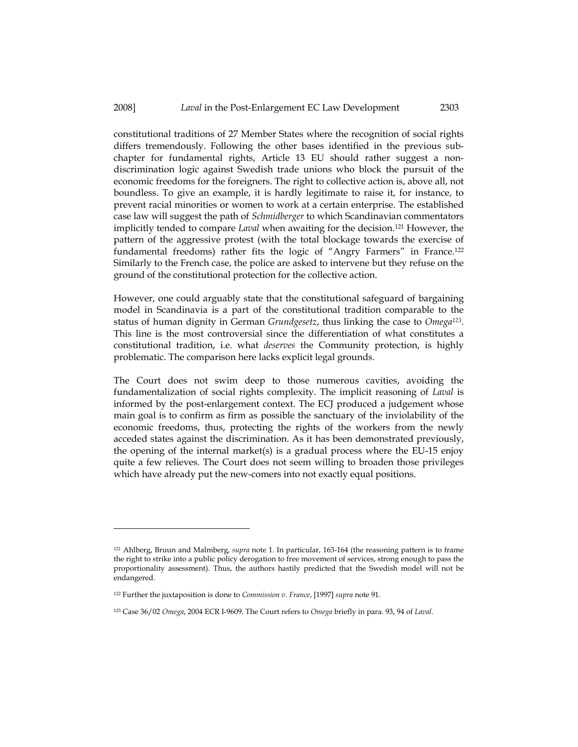#### 2008] Laval in the Post-Enlargement EC Law Development 2303

constitutional traditions of 27 Member States where the recognition of social rights differs tremendously. Following the other bases identified in the previous subchapter for fundamental rights, Article 13 EU should rather suggest a nondiscrimination logic against Swedish trade unions who block the pursuit of the economic freedoms for the foreigners. The right to collective action is, above all, not boundless. To give an example, it is hardly legitimate to raise it, for instance, to prevent racial minorities or women to work at a certain enterprise. The established case law will suggest the path of Schmidberger to which Scandinavian commentators implicitly tended to compare Laval when awaiting for the decision.<sup>121</sup> However, the pattern of the aggressive protest (with the total blockage towards the exercise of fundamental freedoms) rather fits the logic of "Angry Farmers" in France.<sup>122</sup> Similarly to the French case, the police are asked to intervene but they refuse on the ground of the constitutional protection for the collective action.

However, one could arguably state that the constitutional safeguard of bargaining model in Scandinavia is a part of the constitutional tradition comparable to the status of human dignity in German Grundgesetz, thus linking the case to Omega<sup>123</sup>. This line is the most controversial since the differentiation of what constitutes a constitutional tradition, i.e. what deserves the Community protection, is highly problematic. The comparison here lacks explicit legal grounds.

The Court does not swim deep to those numerous cavities, avoiding the fundamentalization of social rights complexity. The implicit reasoning of Laval is informed by the post-enlargement context. The ECJ produced a judgement whose main goal is to confirm as firm as possible the sanctuary of the inviolability of the economic freedoms, thus, protecting the rights of the workers from the newly acceded states against the discrimination. As it has been demonstrated previously, the opening of the internal market(s) is a gradual process where the EU-15 enjoy quite a few relieves. The Court does not seem willing to broaden those privileges which have already put the new-comers into not exactly equal positions.

<sup>&</sup>lt;sup>121</sup> Ahlberg, Bruun and Malmberg, supra note 1. In particular, 163-164 (the reasoning pattern is to frame the right to strike into a public policy derogation to free movement of services, strong enough to pass the proportionality assessment). Thus, the authors hastily predicted that the Swedish model will not be endangered.

 $122$  Further the juxtaposition is done to Commission v. France, [1997] supra note 91.

<sup>123</sup> Case 36/02 Omega, 2004 ECR I-9609. The Court refers to Omega briefly in para. 93, 94 of Laval.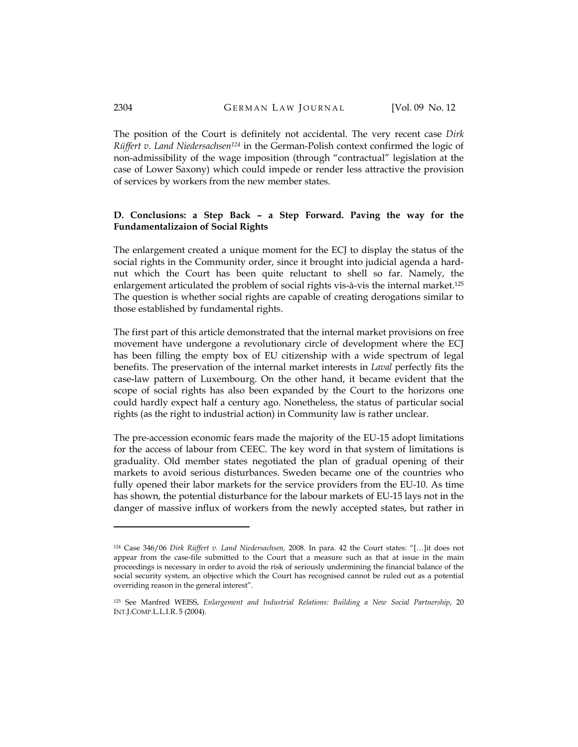The position of the Court is definitely not accidental. The very recent case Dirk Rüffert v. Land Niedersachsen<sup>124</sup> in the German-Polish context confirmed the logic of non-admissibility of the wage imposition (through "contractual" legislation at the case of Lower Saxony) which could impede or render less attractive the provision of services by workers from the new member states.

# D. Conclusions: a Step Back – a Step Forward. Paving the way for the Fundamentalizaion of Social Rights

The enlargement created a unique moment for the ECJ to display the status of the social rights in the Community order, since it brought into judicial agenda a hardnut which the Court has been quite reluctant to shell so far. Namely, the enlargement articulated the problem of social rights vis-à-vis the internal market.<sup>125</sup> The question is whether social rights are capable of creating derogations similar to those established by fundamental rights.

The first part of this article demonstrated that the internal market provisions on free movement have undergone a revolutionary circle of development where the ECJ has been filling the empty box of EU citizenship with a wide spectrum of legal benefits. The preservation of the internal market interests in Laval perfectly fits the case-law pattern of Luxembourg. On the other hand, it became evident that the scope of social rights has also been expanded by the Court to the horizons one could hardly expect half a century ago. Nonetheless, the status of particular social rights (as the right to industrial action) in Community law is rather unclear.

The pre-accession economic fears made the majority of the EU-15 adopt limitations for the access of labour from CEEC. The key word in that system of limitations is graduality. Old member states negotiated the plan of gradual opening of their markets to avoid serious disturbances. Sweden became one of the countries who fully opened their labor markets for the service providers from the EU-10. As time has shown, the potential disturbance for the labour markets of EU-15 lays not in the danger of massive influx of workers from the newly accepted states, but rather in

<sup>124</sup> Case 346/06 Dirk Rüffert v. Land Niedersachsen, 2008. In para. 42 the Court states: "[…]it does not appear from the case-file submitted to the Court that a measure such as that at issue in the main proceedings is necessary in order to avoid the risk of seriously undermining the financial balance of the social security system, an objective which the Court has recognised cannot be ruled out as a potential overriding reason in the general interest".

<sup>125</sup> See Manfred WEISS, Enlargement and Industrial Relations: Building a New Social Partnership, 20 INT.J.COMP.L.L.I.R. 5 (2004).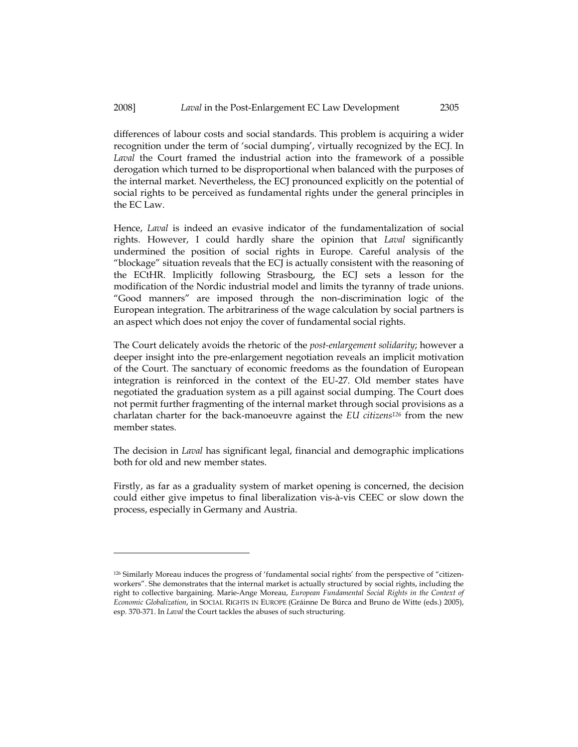differences of labour costs and social standards. This problem is acquiring a wider recognition under the term of 'social dumping', virtually recognized by the ECJ. In Laval the Court framed the industrial action into the framework of a possible derogation which turned to be disproportional when balanced with the purposes of the internal market. Nevertheless, the ECJ pronounced explicitly on the potential of social rights to be perceived as fundamental rights under the general principles in the EC Law.

Hence, Laval is indeed an evasive indicator of the fundamentalization of social rights. However, I could hardly share the opinion that Laval significantly undermined the position of social rights in Europe. Careful analysis of the "blockage" situation reveals that the ECJ is actually consistent with the reasoning of the ECtHR. Implicitly following Strasbourg, the ECJ sets a lesson for the modification of the Nordic industrial model and limits the tyranny of trade unions. "Good manners" are imposed through the non-discrimination logic of the European integration. The arbitrariness of the wage calculation by social partners is an aspect which does not enjoy the cover of fundamental social rights.

The Court delicately avoids the rhetoric of the *post-enlargement solidarity;* however a deeper insight into the pre-enlargement negotiation reveals an implicit motivation of the Court. The sanctuary of economic freedoms as the foundation of European integration is reinforced in the context of the EU-27. Old member states have negotiated the graduation system as a pill against social dumping. The Court does not permit further fragmenting of the internal market through social provisions as a charlatan charter for the back-manoeuvre against the EU citizens<sup>126</sup> from the new member states.

The decision in Laval has significant legal, financial and demographic implications both for old and new member states.

Firstly, as far as a graduality system of market opening is concerned, the decision could either give impetus to final liberalization vis-à-vis CEEC or slow down the process, especially in Germany and Austria.

<sup>126</sup> Similarly Moreau induces the progress of 'fundamental social rights' from the perspective of "citizenworkers". She demonstrates that the internal market is actually structured by social rights, including the right to collective bargaining. Marie-Ange Moreau, European Fundamental Social Rights in the Context of Economic Globalization, in SOCIAL RIGHTS IN EUROPE (Gráinne De Búrca and Bruno de Witte (eds.) 2005), esp. 370-371. In Laval the Court tackles the abuses of such structuring.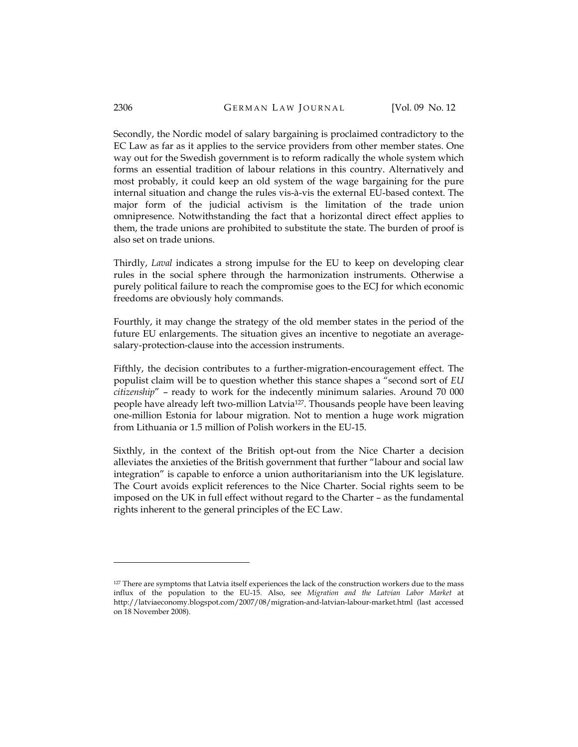Secondly, the Nordic model of salary bargaining is proclaimed contradictory to the EC Law as far as it applies to the service providers from other member states. One way out for the Swedish government is to reform radically the whole system which forms an essential tradition of labour relations in this country. Alternatively and most probably, it could keep an old system of the wage bargaining for the pure internal situation and change the rules vis-à-vis the external EU-based context. The major form of the judicial activism is the limitation of the trade union omnipresence. Notwithstanding the fact that a horizontal direct effect applies to them, the trade unions are prohibited to substitute the state. The burden of proof is also set on trade unions.

Thirdly, Laval indicates a strong impulse for the EU to keep on developing clear rules in the social sphere through the harmonization instruments. Otherwise a purely political failure to reach the compromise goes to the ECJ for which economic freedoms are obviously holy commands.

Fourthly, it may change the strategy of the old member states in the period of the future EU enlargements. The situation gives an incentive to negotiate an averagesalary-protection-clause into the accession instruments.

Fifthly, the decision contributes to a further-migration-encouragement effect. The populist claim will be to question whether this stance shapes a "second sort of EU citizenship" – ready to work for the indecently minimum salaries. Around 70 000 people have already left two-million Latvia<sup>127</sup>. Thousands people have been leaving one-million Estonia for labour migration. Not to mention a huge work migration from Lithuania or 1.5 million of Polish workers in the EU-15.

Sixthly, in the context of the British opt-out from the Nice Charter a decision alleviates the anxieties of the British government that further "labour and social law integration" is capable to enforce a union authoritarianism into the UK legislature. The Court avoids explicit references to the Nice Charter. Social rights seem to be imposed on the UK in full effect without regard to the Charter – as the fundamental rights inherent to the general principles of the EC Law.

<sup>127</sup> There are symptoms that Latvia itself experiences the lack of the construction workers due to the mass influx of the population to the EU-15. Also, see Migration and the Latvian Labor Market at http://latviaeconomy.blogspot.com/2007/08/migration-and-latvian-labour-market.html (last accessed on 18 November 2008).